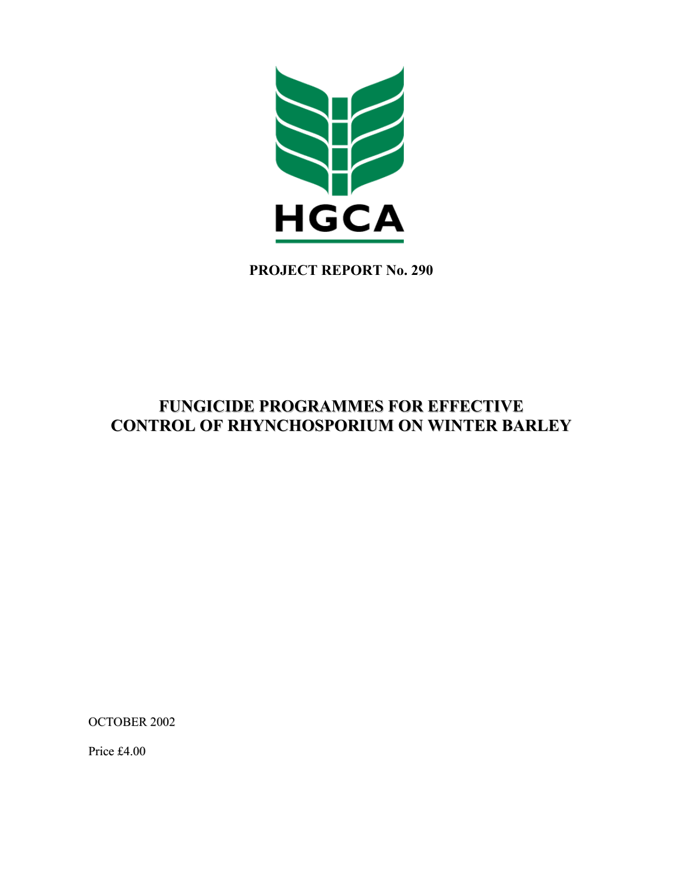

**PROJECT REPORT No. 290** 

# **FUNGICIDE PROGRAMMES FOR EFFECTIVE CONTROL OF RHYNCHOSPORIUM ON WINTER BARLEY**

OCTOBER 2002

Price £4.00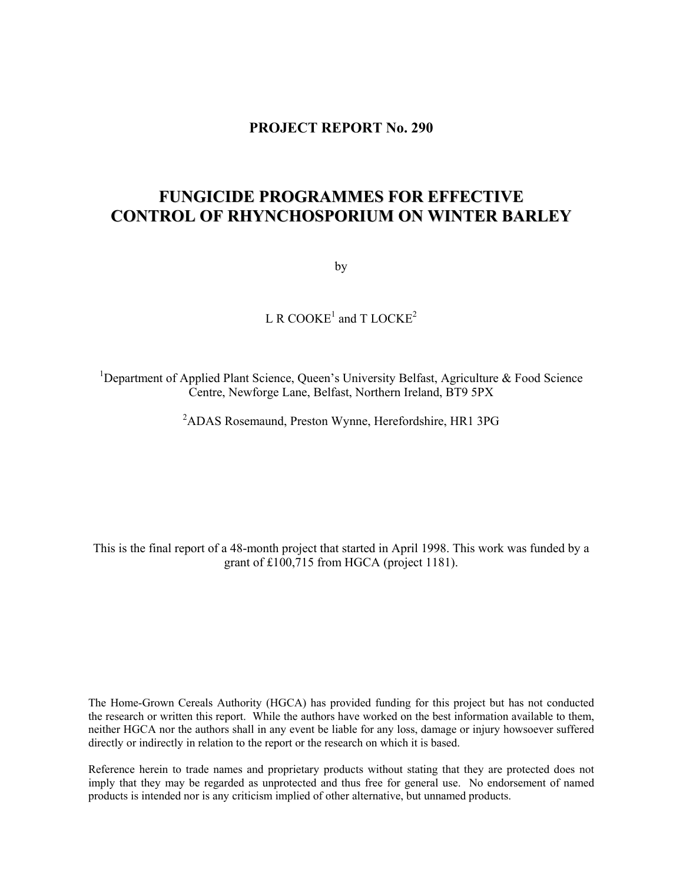# **PROJECT REPORT No. 290**

# **FUNGICIDE PROGRAMMES FOR EFFECTIVE CONTROL OF RHYNCHOSPORIUM ON WINTER BARLEY**

by

L R COOKE<sup>1</sup> and T LOCKE<sup>2</sup>

<sup>1</sup>Department of Applied Plant Science, Queen's University Belfast, Agriculture & Food Science Centre, Newforge Lane, Belfast, Northern Ireland, BT9 5PX

<sup>2</sup>ADAS Rosemaund, Preston Wynne, Herefordshire, HR1 3PG

This is the final report of a 48-month project that started in April 1998. This work was funded by a grant of £100,715 from HGCA (project 1181).

The Home-Grown Cereals Authority (HGCA) has provided funding for this project but has not conducted the research or written this report. While the authors have worked on the best information available to them, neither HGCA nor the authors shall in any event be liable for any loss, damage or injury howsoever suffered directly or indirectly in relation to the report or the research on which it is based.

Reference herein to trade names and proprietary products without stating that they are protected does not imply that they may be regarded as unprotected and thus free for general use. No endorsement of named products is intended nor is any criticism implied of other alternative, but unnamed products.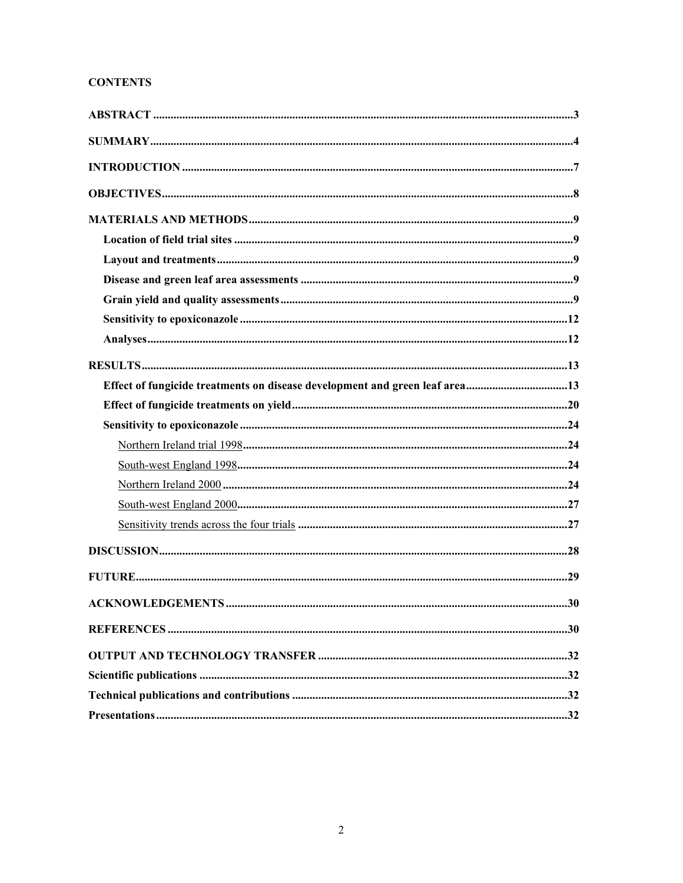# **CONTENTS**

| Effect of fungicide treatments on disease development and green leaf area13 |  |
|-----------------------------------------------------------------------------|--|
|                                                                             |  |
|                                                                             |  |
|                                                                             |  |
|                                                                             |  |
|                                                                             |  |
|                                                                             |  |
|                                                                             |  |
|                                                                             |  |
|                                                                             |  |
|                                                                             |  |
|                                                                             |  |
|                                                                             |  |
|                                                                             |  |
|                                                                             |  |
|                                                                             |  |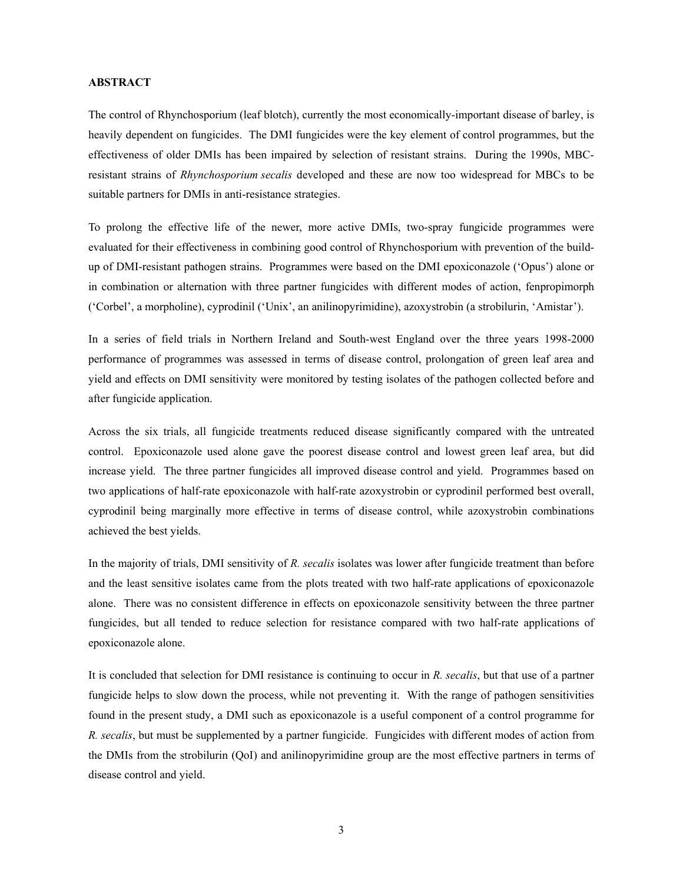# **ABSTRACT**

The control of Rhynchosporium (leaf blotch), currently the most economically-important disease of barley, is heavily dependent on fungicides. The DMI fungicides were the key element of control programmes, but the effectiveness of older DMIs has been impaired by selection of resistant strains. During the 1990s, MBCresistant strains of *Rhynchosporium secalis* developed and these are now too widespread for MBCs to be suitable partners for DMIs in anti-resistance strategies.

To prolong the effective life of the newer, more active DMIs, two-spray fungicide programmes were evaluated for their effectiveness in combining good control of Rhynchosporium with prevention of the buildup of DMI-resistant pathogen strains. Programmes were based on the DMI epoxiconazole ('Opus') alone or in combination or alternation with three partner fungicides with different modes of action, fenpropimorph ('Corbel', a morpholine), cyprodinil ('Unix', an anilinopyrimidine), azoxystrobin (a strobilurin, 'Amistar').

In a series of field trials in Northern Ireland and South-west England over the three years 1998-2000 performance of programmes was assessed in terms of disease control, prolongation of green leaf area and yield and effects on DMI sensitivity were monitored by testing isolates of the pathogen collected before and after fungicide application.

Across the six trials, all fungicide treatments reduced disease significantly compared with the untreated control. Epoxiconazole used alone gave the poorest disease control and lowest green leaf area, but did increase yield. The three partner fungicides all improved disease control and yield. Programmes based on two applications of half-rate epoxiconazole with half-rate azoxystrobin or cyprodinil performed best overall, cyprodinil being marginally more effective in terms of disease control, while azoxystrobin combinations achieved the best yields.

In the majority of trials, DMI sensitivity of *R. secalis* isolates was lower after fungicide treatment than before and the least sensitive isolates came from the plots treated with two half-rate applications of epoxiconazole alone. There was no consistent difference in effects on epoxiconazole sensitivity between the three partner fungicides, but all tended to reduce selection for resistance compared with two half-rate applications of epoxiconazole alone.

It is concluded that selection for DMI resistance is continuing to occur in *R. secalis*, but that use of a partner fungicide helps to slow down the process, while not preventing it. With the range of pathogen sensitivities found in the present study, a DMI such as epoxiconazole is a useful component of a control programme for *R. secalis*, but must be supplemented by a partner fungicide. Fungicides with different modes of action from the DMIs from the strobilurin (QoI) and anilinopyrimidine group are the most effective partners in terms of disease control and yield.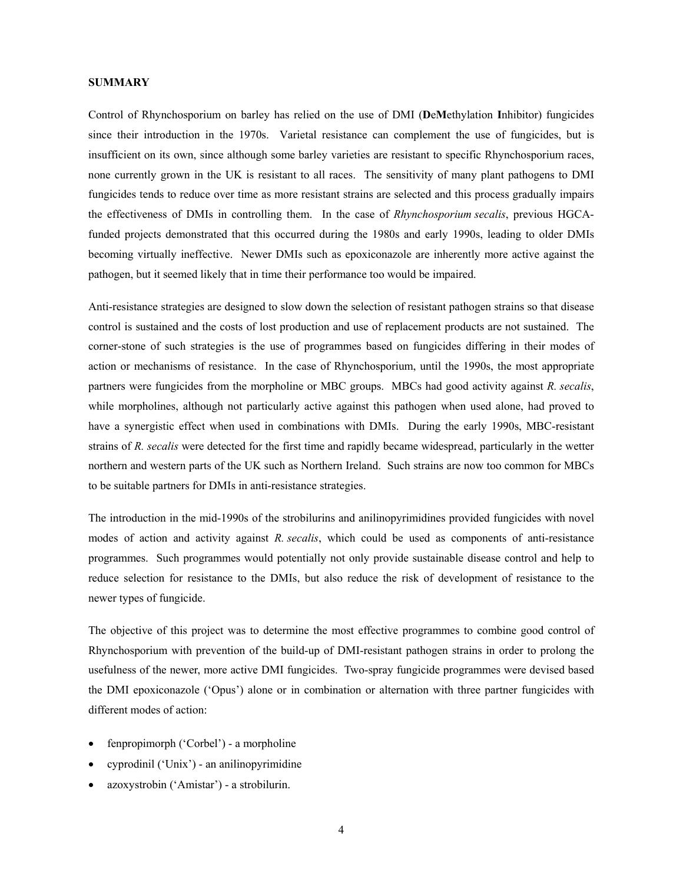### **SUMMARY**

Control of Rhynchosporium on barley has relied on the use of DMI (**D**e**M**ethylation **I**nhibitor) fungicides since their introduction in the 1970s. Varietal resistance can complement the use of fungicides, but is insufficient on its own, since although some barley varieties are resistant to specific Rhynchosporium races, none currently grown in the UK is resistant to all races. The sensitivity of many plant pathogens to DMI fungicides tends to reduce over time as more resistant strains are selected and this process gradually impairs the effectiveness of DMIs in controlling them. In the case of *Rhynchosporium secalis*, previous HGCAfunded projects demonstrated that this occurred during the 1980s and early 1990s, leading to older DMIs becoming virtually ineffective. Newer DMIs such as epoxiconazole are inherently more active against the pathogen, but it seemed likely that in time their performance too would be impaired.

Anti-resistance strategies are designed to slow down the selection of resistant pathogen strains so that disease control is sustained and the costs of lost production and use of replacement products are not sustained. The corner-stone of such strategies is the use of programmes based on fungicides differing in their modes of action or mechanisms of resistance. In the case of Rhynchosporium, until the 1990s, the most appropriate partners were fungicides from the morpholine or MBC groups. MBCs had good activity against *R. secalis*, while morpholines, although not particularly active against this pathogen when used alone, had proved to have a synergistic effect when used in combinations with DMIs. During the early 1990s, MBC-resistant strains of *R. secalis* were detected for the first time and rapidly became widespread, particularly in the wetter northern and western parts of the UK such as Northern Ireland. Such strains are now too common for MBCs to be suitable partners for DMIs in anti-resistance strategies.

The introduction in the mid-1990s of the strobilurins and anilinopyrimidines provided fungicides with novel modes of action and activity against *R. secalis*, which could be used as components of anti-resistance programmes. Such programmes would potentially not only provide sustainable disease control and help to reduce selection for resistance to the DMIs, but also reduce the risk of development of resistance to the newer types of fungicide.

The objective of this project was to determine the most effective programmes to combine good control of Rhynchosporium with prevention of the build-up of DMI-resistant pathogen strains in order to prolong the usefulness of the newer, more active DMI fungicides. Two-spray fungicide programmes were devised based the DMI epoxiconazole ('Opus') alone or in combination or alternation with three partner fungicides with different modes of action:

- fenpropimorph ('Corbel') a morpholine
- cyprodinil ('Unix') an anilinopyrimidine
- azoxystrobin ('Amistar') a strobilurin.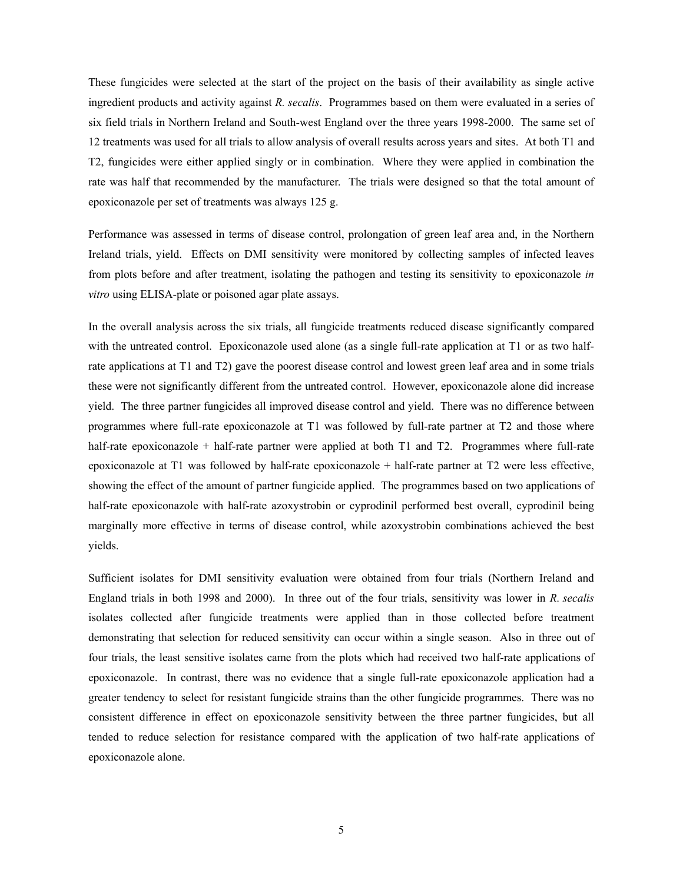These fungicides were selected at the start of the project on the basis of their availability as single active ingredient products and activity against *R. secalis*. Programmes based on them were evaluated in a series of six field trials in Northern Ireland and South-west England over the three years 1998-2000. The same set of 12 treatments was used for all trials to allow analysis of overall results across years and sites. At both T1 and T2, fungicides were either applied singly or in combination. Where they were applied in combination the rate was half that recommended by the manufacturer. The trials were designed so that the total amount of epoxiconazole per set of treatments was always 125 g.

Performance was assessed in terms of disease control, prolongation of green leaf area and, in the Northern Ireland trials, yield. Effects on DMI sensitivity were monitored by collecting samples of infected leaves from plots before and after treatment, isolating the pathogen and testing its sensitivity to epoxiconazole *in vitro* using ELISA-plate or poisoned agar plate assays.

In the overall analysis across the six trials, all fungicide treatments reduced disease significantly compared with the untreated control. Epoxiconazole used alone (as a single full-rate application at T1 or as two halfrate applications at T1 and T2) gave the poorest disease control and lowest green leaf area and in some trials these were not significantly different from the untreated control. However, epoxiconazole alone did increase yield. The three partner fungicides all improved disease control and yield. There was no difference between programmes where full-rate epoxiconazole at T1 was followed by full-rate partner at T2 and those where half-rate epoxiconazole + half-rate partner were applied at both T1 and T2. Programmes where full-rate epoxiconazole at T1 was followed by half-rate epoxiconazole + half-rate partner at T2 were less effective, showing the effect of the amount of partner fungicide applied. The programmes based on two applications of half-rate epoxiconazole with half-rate azoxystrobin or cyprodinil performed best overall, cyprodinil being marginally more effective in terms of disease control, while azoxystrobin combinations achieved the best yields.

Sufficient isolates for DMI sensitivity evaluation were obtained from four trials (Northern Ireland and England trials in both 1998 and 2000). In three out of the four trials, sensitivity was lower in *R. secalis* isolates collected after fungicide treatments were applied than in those collected before treatment demonstrating that selection for reduced sensitivity can occur within a single season. Also in three out of four trials, the least sensitive isolates came from the plots which had received two half-rate applications of epoxiconazole. In contrast, there was no evidence that a single full-rate epoxiconazole application had a greater tendency to select for resistant fungicide strains than the other fungicide programmes. There was no consistent difference in effect on epoxiconazole sensitivity between the three partner fungicides, but all tended to reduce selection for resistance compared with the application of two half-rate applications of epoxiconazole alone.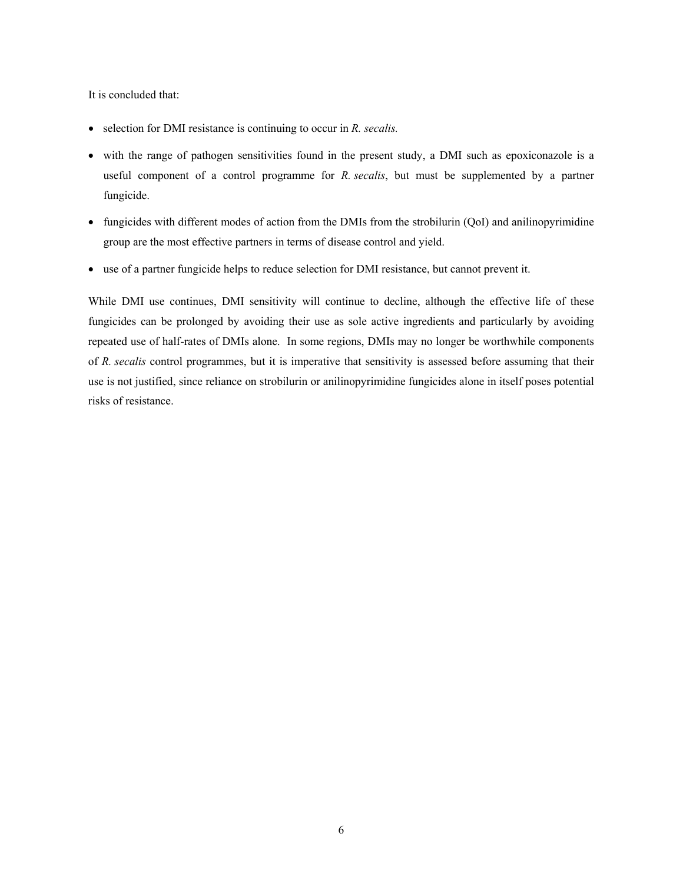It is concluded that:

- selection for DMI resistance is continuing to occur in *R. secalis.*
- with the range of pathogen sensitivities found in the present study, a DMI such as epoxiconazole is a useful component of a control programme for *R. secalis*, but must be supplemented by a partner fungicide.
- fungicides with different modes of action from the DMIs from the strobilurin (QoI) and anilinopyrimidine group are the most effective partners in terms of disease control and yield.
- use of a partner fungicide helps to reduce selection for DMI resistance, but cannot prevent it.

While DMI use continues, DMI sensitivity will continue to decline, although the effective life of these fungicides can be prolonged by avoiding their use as sole active ingredients and particularly by avoiding repeated use of half-rates of DMIs alone. In some regions, DMIs may no longer be worthwhile components of *R. secalis* control programmes, but it is imperative that sensitivity is assessed before assuming that their use is not justified, since reliance on strobilurin or anilinopyrimidine fungicides alone in itself poses potential risks of resistance.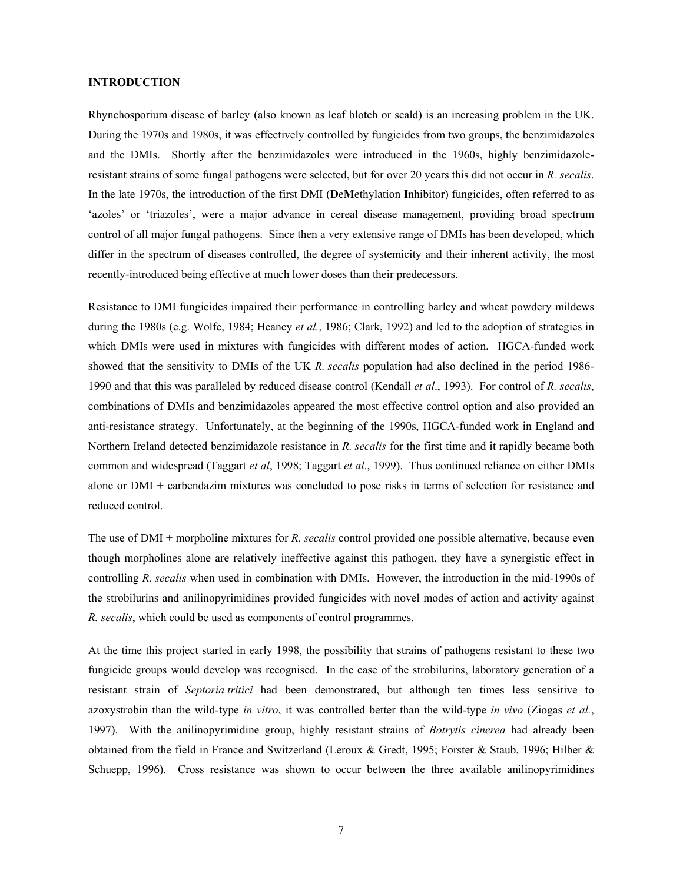# **INTRODUCTION**

Rhynchosporium disease of barley (also known as leaf blotch or scald) is an increasing problem in the UK. During the 1970s and 1980s, it was effectively controlled by fungicides from two groups, the benzimidazoles and the DMIs. Shortly after the benzimidazoles were introduced in the 1960s, highly benzimidazoleresistant strains of some fungal pathogens were selected, but for over 20 years this did not occur in *R. secalis*. In the late 1970s, the introduction of the first DMI (**D**e**M**ethylation **I**nhibitor) fungicides, often referred to as 'azoles' or 'triazoles', were a major advance in cereal disease management, providing broad spectrum control of all major fungal pathogens. Since then a very extensive range of DMIs has been developed, which differ in the spectrum of diseases controlled, the degree of systemicity and their inherent activity, the most recently-introduced being effective at much lower doses than their predecessors.

Resistance to DMI fungicides impaired their performance in controlling barley and wheat powdery mildews during the 1980s (e.g. Wolfe, 1984; Heaney *et al.*, 1986; Clark, 1992) and led to the adoption of strategies in which DMIs were used in mixtures with fungicides with different modes of action. HGCA-funded work showed that the sensitivity to DMIs of the UK *R. secalis* population had also declined in the period 1986- 1990 and that this was paralleled by reduced disease control (Kendall *et al*., 1993). For control of *R. secalis*, combinations of DMIs and benzimidazoles appeared the most effective control option and also provided an anti-resistance strategy. Unfortunately, at the beginning of the 1990s, HGCA-funded work in England and Northern Ireland detected benzimidazole resistance in *R. secalis* for the first time and it rapidly became both common and widespread (Taggart *et al*, 1998; Taggart *et al*., 1999). Thus continued reliance on either DMIs alone or DMI + carbendazim mixtures was concluded to pose risks in terms of selection for resistance and reduced control.

The use of DMI + morpholine mixtures for *R. secalis* control provided one possible alternative, because even though morpholines alone are relatively ineffective against this pathogen, they have a synergistic effect in controlling *R. secalis* when used in combination with DMIs. However, the introduction in the mid-1990s of the strobilurins and anilinopyrimidines provided fungicides with novel modes of action and activity against *R. secalis*, which could be used as components of control programmes.

At the time this project started in early 1998, the possibility that strains of pathogens resistant to these two fungicide groups would develop was recognised. In the case of the strobilurins, laboratory generation of a resistant strain of *Septoria tritici* had been demonstrated, but although ten times less sensitive to azoxystrobin than the wild-type *in vitro*, it was controlled better than the wild-type *in vivo* (Ziogas *et al.*, 1997). With the anilinopyrimidine group, highly resistant strains of *Botrytis cinerea* had already been obtained from the field in France and Switzerland (Leroux & Gredt, 1995; Forster & Staub, 1996; Hilber & Schuepp, 1996). Cross resistance was shown to occur between the three available anilinopyrimidines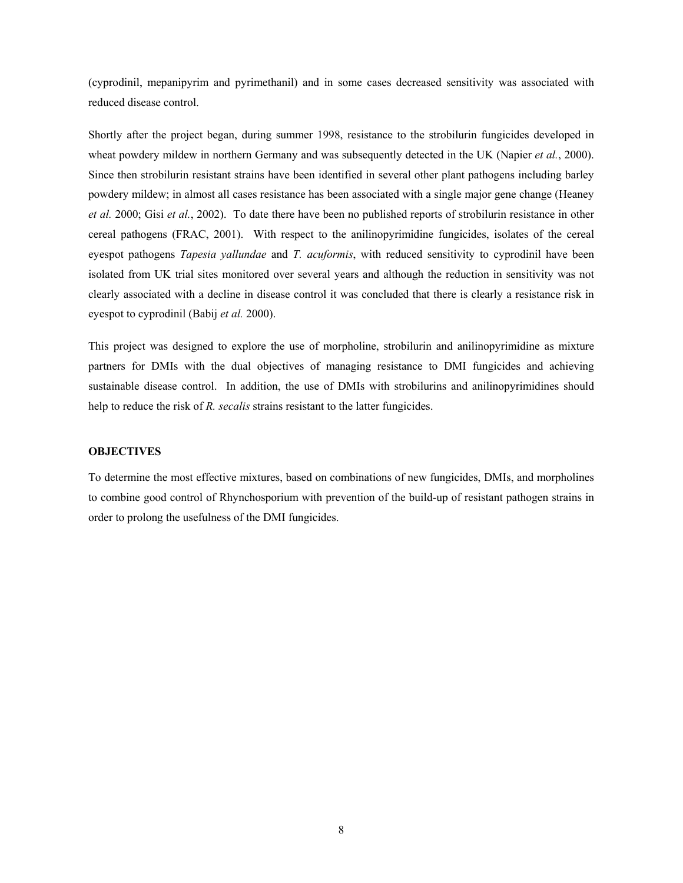(cyprodinil, mepanipyrim and pyrimethanil) and in some cases decreased sensitivity was associated with reduced disease control.

Shortly after the project began, during summer 1998, resistance to the strobilurin fungicides developed in wheat powdery mildew in northern Germany and was subsequently detected in the UK (Napier *et al.*, 2000). Since then strobilurin resistant strains have been identified in several other plant pathogens including barley powdery mildew; in almost all cases resistance has been associated with a single major gene change (Heaney *et al.* 2000; Gisi *et al.*, 2002). To date there have been no published reports of strobilurin resistance in other cereal pathogens (FRAC, 2001). With respect to the anilinopyrimidine fungicides, isolates of the cereal eyespot pathogens *Tapesia yallundae* and *T. acuformis*, with reduced sensitivity to cyprodinil have been isolated from UK trial sites monitored over several years and although the reduction in sensitivity was not clearly associated with a decline in disease control it was concluded that there is clearly a resistance risk in eyespot to cyprodinil (Babij *et al.* 2000).

This project was designed to explore the use of morpholine, strobilurin and anilinopyrimidine as mixture partners for DMIs with the dual objectives of managing resistance to DMI fungicides and achieving sustainable disease control. In addition, the use of DMIs with strobilurins and anilinopyrimidines should help to reduce the risk of *R. secalis* strains resistant to the latter fungicides.

# **OBJECTIVES**

To determine the most effective mixtures, based on combinations of new fungicides, DMIs, and morpholines to combine good control of Rhynchosporium with prevention of the build-up of resistant pathogen strains in order to prolong the usefulness of the DMI fungicides.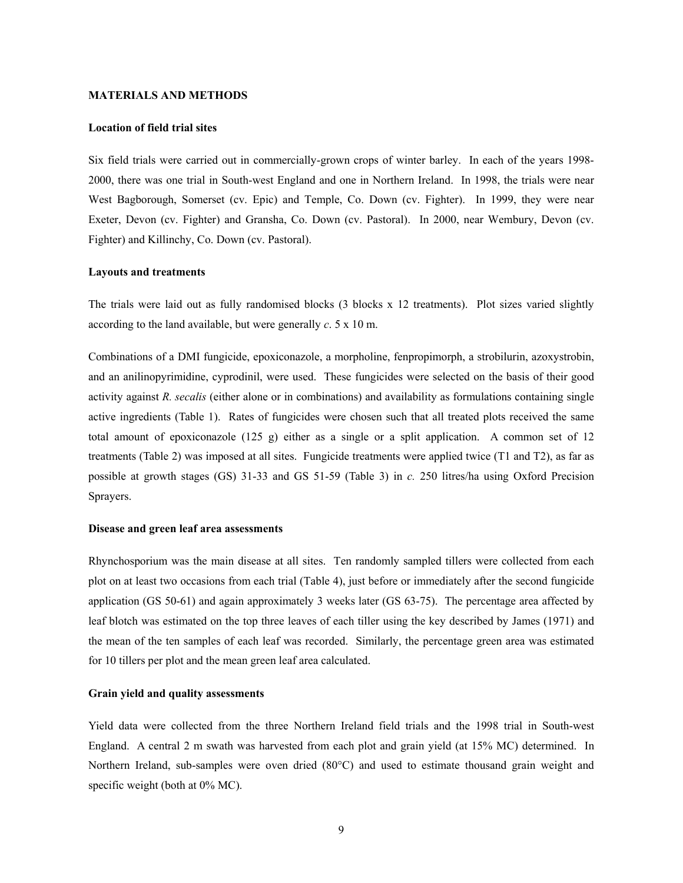## **MATERIALS AND METHODS**

# **Location of field trial sites**

Six field trials were carried out in commercially-grown crops of winter barley. In each of the years 1998- 2000, there was one trial in South-west England and one in Northern Ireland. In 1998, the trials were near West Bagborough, Somerset (cv. Epic) and Temple, Co. Down (cv. Fighter). In 1999, they were near Exeter, Devon (cv. Fighter) and Gransha, Co. Down (cv. Pastoral). In 2000, near Wembury, Devon (cv. Fighter) and Killinchy, Co. Down (cv. Pastoral).

#### **Layouts and treatments**

The trials were laid out as fully randomised blocks (3 blocks x 12 treatments). Plot sizes varied slightly according to the land available, but were generally *c*. 5 x 10 m.

Combinations of a DMI fungicide, epoxiconazole, a morpholine, fenpropimorph, a strobilurin, azoxystrobin, and an anilinopyrimidine, cyprodinil, were used. These fungicides were selected on the basis of their good activity against *R. secalis* (either alone or in combinations) and availability as formulations containing single active ingredients (Table 1). Rates of fungicides were chosen such that all treated plots received the same total amount of epoxiconazole  $(125 \text{ g})$  either as a single or a split application. A common set of 12 treatments (Table 2) was imposed at all sites. Fungicide treatments were applied twice (T1 and T2), as far as possible at growth stages (GS) 31-33 and GS 51-59 (Table 3) in *c.* 250 litres/ha using Oxford Precision Sprayers.

#### **Disease and green leaf area assessments**

Rhynchosporium was the main disease at all sites. Ten randomly sampled tillers were collected from each plot on at least two occasions from each trial (Table 4), just before or immediately after the second fungicide application (GS 50-61) and again approximately 3 weeks later (GS 63-75). The percentage area affected by leaf blotch was estimated on the top three leaves of each tiller using the key described by James (1971) and the mean of the ten samples of each leaf was recorded. Similarly, the percentage green area was estimated for 10 tillers per plot and the mean green leaf area calculated.

### **Grain yield and quality assessments**

Yield data were collected from the three Northern Ireland field trials and the 1998 trial in South-west England. A central 2 m swath was harvested from each plot and grain yield (at 15% MC) determined. In Northern Ireland, sub-samples were oven dried (80°C) and used to estimate thousand grain weight and specific weight (both at 0% MC).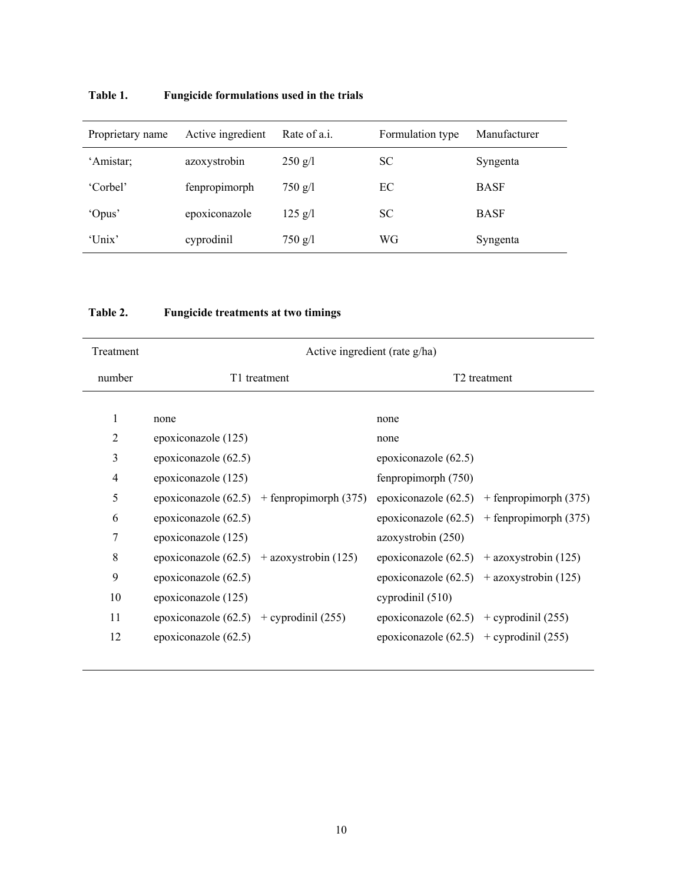| Proprietary name | Active ingredient | Rate of a.i.      | Formulation type | Manufacturer |
|------------------|-------------------|-------------------|------------------|--------------|
| 'Amistar;        | azoxystrobin      | $250$ g/l         | <b>SC</b>        | Syngenta     |
| 'Corbel'         | fenpropimorph     | $750 \text{ g}/l$ | EC               | <b>BASF</b>  |
| 'Opus'           | epoxiconazole     | $125$ g/l         | <b>SC</b>        | <b>BASF</b>  |
| 'Unix'           | cyprodinil        | $750$ g/l         | WG               | Syngenta     |

# **Table 1. Fungicide formulations used in the trials**

# **Table 2. Fungicide treatments at two timings**

| Treatment | Active ingredient (rate g/ha)               |                         |                                             |                                              |  |  |  |
|-----------|---------------------------------------------|-------------------------|---------------------------------------------|----------------------------------------------|--|--|--|
| number    | T1 treatment                                |                         |                                             | T <sub>2</sub> treatment                     |  |  |  |
|           |                                             |                         |                                             |                                              |  |  |  |
| 1         | none                                        |                         | none                                        |                                              |  |  |  |
| 2         | epoxiconazole (125)                         |                         | none                                        |                                              |  |  |  |
| 3         | epoxiconazole (62.5)                        |                         | epoxiconazole $(62.5)$                      |                                              |  |  |  |
| 4         | epoxiconazole (125)                         |                         | fenpropimorph (750)                         |                                              |  |  |  |
| 5         | epoxiconazole $(62.5)$                      | $+$ fenpropimorph (375) |                                             | epoxiconazole $(62.5)$ + fenpropimorph (375) |  |  |  |
| 6         | epoxiconazole (62.5)                        |                         |                                             | epoxiconazole $(62.5)$ + fenpropimorph (375) |  |  |  |
| 7         | epoxiconazole (125)                         |                         | azoxystrobin (250)                          |                                              |  |  |  |
| 8         | epoxiconazole $(62.5)$ + azoxystrobin (125) |                         | epoxiconazole (62.5) + azoxystrobin (125)   |                                              |  |  |  |
| 9         | epoxiconazole (62.5)                        |                         |                                             | epoxiconazole $(62.5)$ + azoxystrobin (125)  |  |  |  |
| 10        | epoxiconazole (125)                         |                         | cyprodinil (510)                            |                                              |  |  |  |
| 11        | epoxiconazole $(62.5)$ + cyprodinil $(255)$ |                         | epoxiconazole $(62.5)$ + cyprodinil $(255)$ |                                              |  |  |  |
| 12        | epoxiconazole (62.5)                        |                         | epoxiconazole $(62.5)$ + cyprodinil $(255)$ |                                              |  |  |  |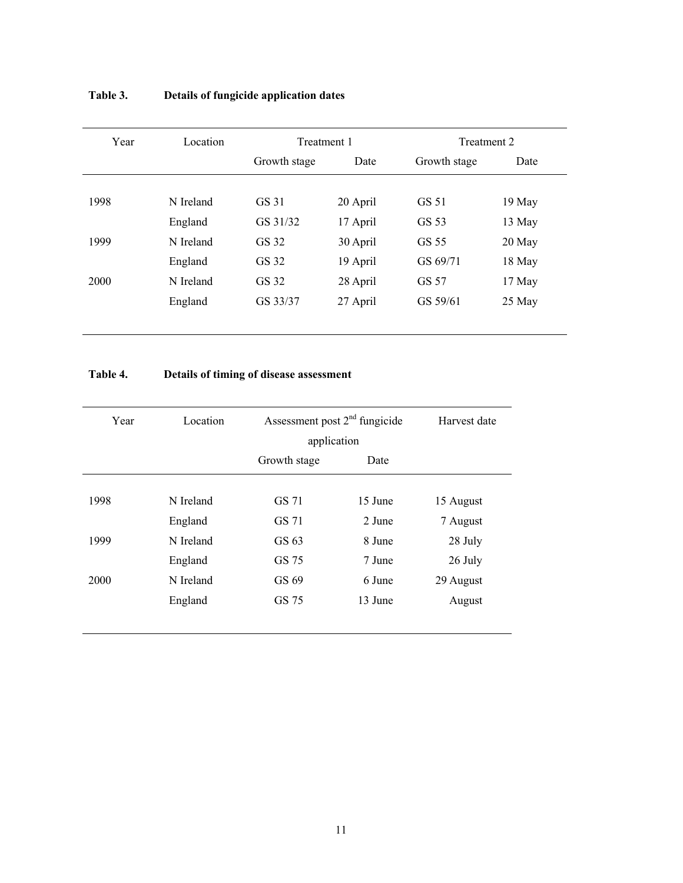| Year | Location  | Treatment 1  |          |              | Treatment 2 |  |
|------|-----------|--------------|----------|--------------|-------------|--|
|      |           | Growth stage | Date     | Growth stage | Date        |  |
|      |           |              |          |              |             |  |
| 1998 | N Ireland | GS 31        | 20 April | GS 51        | 19 May      |  |
|      | England   | GS 31/32     | 17 April | GS 53        | 13 May      |  |
| 1999 | N Ireland | GS 32        | 30 April | GS 55        | $20$ May    |  |
|      | England   | GS 32        | 19 April | GS 69/71     | 18 May      |  |
| 2000 | N Ireland | GS 32        | 28 April | GS 57        | 17 May      |  |
|      | England   | GS 33/37     | 27 April | GS 59/61     | 25 May      |  |
|      |           |              |          |              |             |  |

# **Table 3. Details of fungicide application dates**

# **Table 4. Details of timing of disease assessment**

| Year | Location  | Assessment post $2nd$ fungicide<br>application |         | Harvest date |
|------|-----------|------------------------------------------------|---------|--------------|
|      |           | Growth stage                                   | Date    |              |
|      |           |                                                |         |              |
| 1998 | N Ireland | GS 71                                          | 15 June | 15 August    |
|      | England   | GS 71                                          | 2 June  | 7 August     |
| 1999 | N Ireland | GS 63                                          | 8 June  | 28 July      |
|      | England   | GS 75                                          | 7 June  | 26 July      |
| 2000 | N Ireland | GS 69                                          | 6 June  | 29 August    |
|      | England   | GS 75                                          | 13 June | August       |
|      |           |                                                |         |              |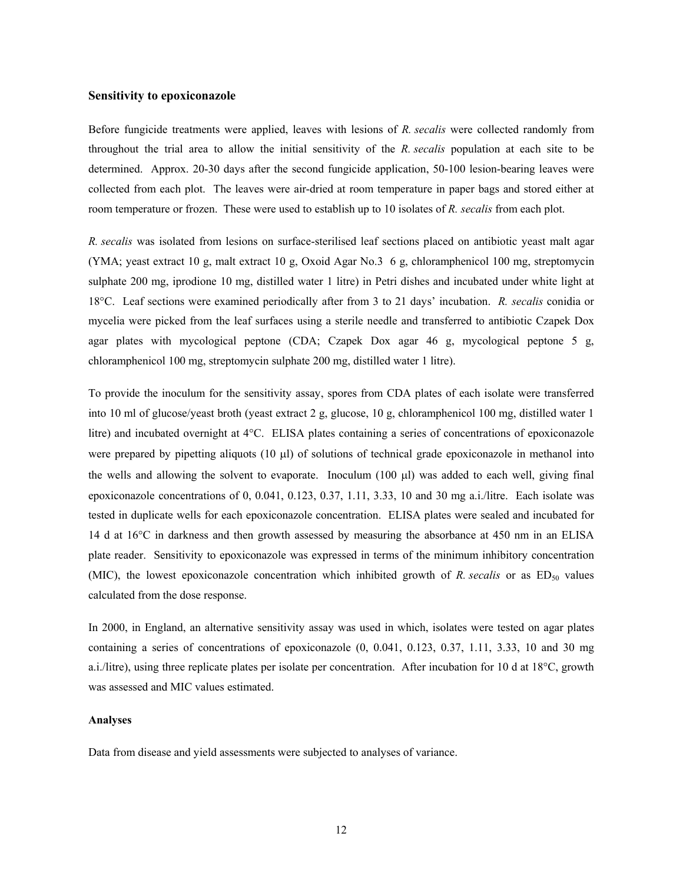### **Sensitivity to epoxiconazole**

Before fungicide treatments were applied, leaves with lesions of *R. secalis* were collected randomly from throughout the trial area to allow the initial sensitivity of the *R. secalis* population at each site to be determined. Approx. 20-30 days after the second fungicide application, 50-100 lesion-bearing leaves were collected from each plot. The leaves were air-dried at room temperature in paper bags and stored either at room temperature or frozen. These were used to establish up to 10 isolates of *R. secalis* from each plot.

*R. secalis* was isolated from lesions on surface-sterilised leaf sections placed on antibiotic yeast malt agar (YMA; yeast extract 10 g, malt extract 10 g, Oxoid Agar No.3 6 g, chloramphenicol 100 mg, streptomycin sulphate 200 mg, iprodione 10 mg, distilled water 1 litre) in Petri dishes and incubated under white light at 18°C. Leaf sections were examined periodically after from 3 to 21 days' incubation. *R. secalis* conidia or mycelia were picked from the leaf surfaces using a sterile needle and transferred to antibiotic Czapek Dox agar plates with mycological peptone (CDA; Czapek Dox agar 46 g, mycological peptone 5 g, chloramphenicol 100 mg, streptomycin sulphate 200 mg, distilled water 1 litre).

To provide the inoculum for the sensitivity assay, spores from CDA plates of each isolate were transferred into 10 ml of glucose/yeast broth (yeast extract 2 g, glucose, 10 g, chloramphenicol 100 mg, distilled water 1 litre) and incubated overnight at 4°C. ELISA plates containing a series of concentrations of epoxiconazole were prepared by pipetting aliquots  $(10 \mu l)$  of solutions of technical grade epoxiconazole in methanol into the wells and allowing the solvent to evaporate. Inoculum (100 µl) was added to each well, giving final epoxiconazole concentrations of 0, 0.041, 0.123, 0.37, 1.11, 3.33, 10 and 30 mg a.i./litre. Each isolate was tested in duplicate wells for each epoxiconazole concentration. ELISA plates were sealed and incubated for 14 d at 16°C in darkness and then growth assessed by measuring the absorbance at 450 nm in an ELISA plate reader. Sensitivity to epoxiconazole was expressed in terms of the minimum inhibitory concentration (MIC), the lowest epoxiconazole concentration which inhibited growth of *R. secalis* or as ED<sub>50</sub> values calculated from the dose response.

In 2000, in England, an alternative sensitivity assay was used in which, isolates were tested on agar plates containing a series of concentrations of epoxiconazole (0, 0.041, 0.123, 0.37, 1.11, 3.33, 10 and 30 mg a.i./litre), using three replicate plates per isolate per concentration. After incubation for 10 d at 18°C, growth was assessed and MIC values estimated.

### **Analyses**

Data from disease and yield assessments were subjected to analyses of variance.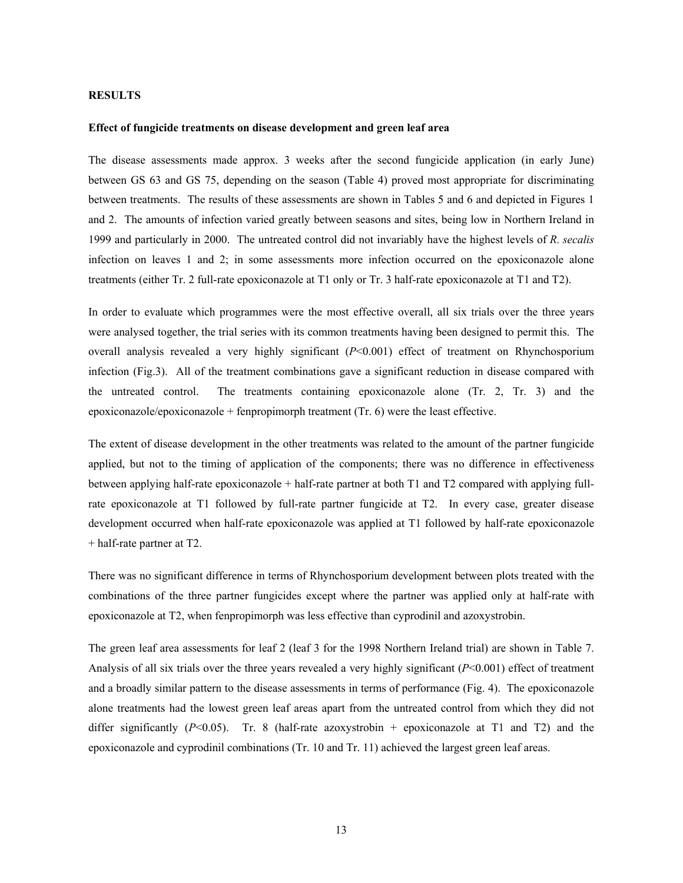# **RESULTS**

### **Effect of fungicide treatments on disease development and green leaf area**

The disease assessments made approx. 3 weeks after the second fungicide application (in early June) between GS 63 and GS 75, depending on the season (Table 4) proved most appropriate for discriminating between treatments. The results of these assessments are shown in Tables 5 and 6 and depicted in Figures 1 and 2. The amounts of infection varied greatly between seasons and sites, being low in Northern Ireland in 1999 and particularly in 2000. The untreated control did not invariably have the highest levels of *R. secalis* infection on leaves 1 and 2; in some assessments more infection occurred on the epoxiconazole alone treatments (either Tr. 2 full-rate epoxiconazole at T1 only or Tr. 3 half-rate epoxiconazole at T1 and T2).

In order to evaluate which programmes were the most effective overall, all six trials over the three years were analysed together, the trial series with its common treatments having been designed to permit this. The overall analysis revealed a very highly significant (*P*<0.001) effect of treatment on Rhynchosporium infection (Fig.3). All of the treatment combinations gave a significant reduction in disease compared with the untreated control. The treatments containing epoxiconazole alone (Tr. 2, Tr. 3) and the epoxiconazole/epoxiconazole + fenpropimorph treatment (Tr. 6) were the least effective.

The extent of disease development in the other treatments was related to the amount of the partner fungicide applied, but not to the timing of application of the components; there was no difference in effectiveness between applying half-rate epoxiconazole + half-rate partner at both T1 and T2 compared with applying fullrate epoxiconazole at T1 followed by full-rate partner fungicide at T2. In every case, greater disease development occurred when half-rate epoxiconazole was applied at T1 followed by half-rate epoxiconazole + half-rate partner at T2.

There was no significant difference in terms of Rhynchosporium development between plots treated with the combinations of the three partner fungicides except where the partner was applied only at half-rate with epoxiconazole at T2, when fenpropimorph was less effective than cyprodinil and azoxystrobin.

The green leaf area assessments for leaf 2 (leaf 3 for the 1998 Northern Ireland trial) are shown in Table 7. Analysis of all six trials over the three years revealed a very highly significant (*P*<0.001) effect of treatment and a broadly similar pattern to the disease assessments in terms of performance (Fig. 4). The epoxiconazole alone treatments had the lowest green leaf areas apart from the untreated control from which they did not differ significantly  $(P<0.05)$ . Tr. 8 (half-rate azoxystrobin + epoxiconazole at T1 and T2) and the epoxiconazole and cyprodinil combinations (Tr. 10 and Tr. 11) achieved the largest green leaf areas.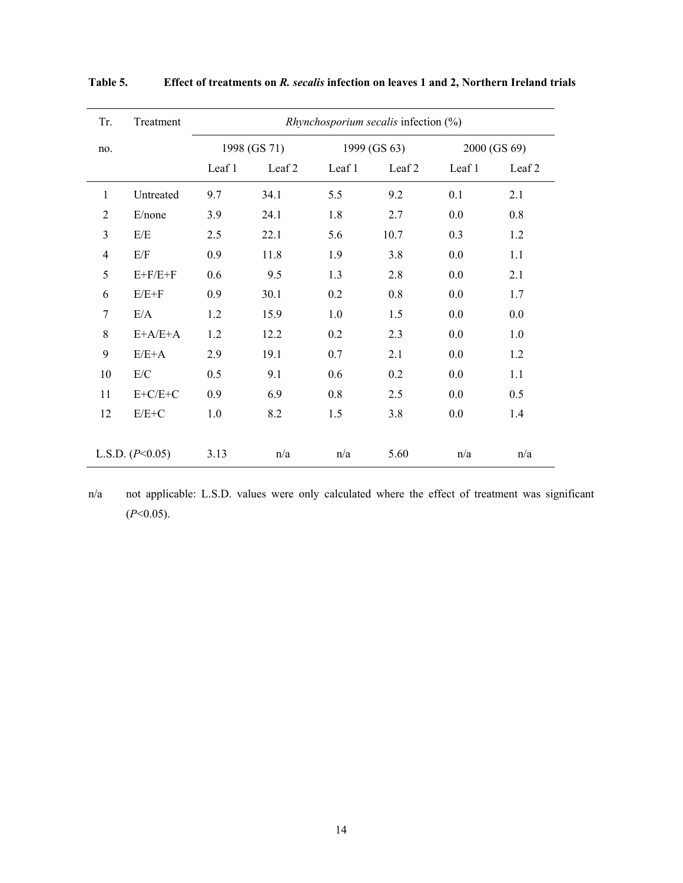| Tr.            | Treatment         | Rhynchosporium secalis infection (%) |              |        |              |        |                   |
|----------------|-------------------|--------------------------------------|--------------|--------|--------------|--------|-------------------|
| no.            |                   |                                      | 1998 (GS 71) |        | 1999 (GS 63) |        | 2000 (GS 69)      |
|                |                   | Leaf 1                               | Leaf 2       | Leaf 1 | Leaf 2       | Leaf 1 | Leaf <sub>2</sub> |
| 1              | Untreated         | 9.7                                  | 34.1         | 5.5    | 9.2          | 0.1    | 2.1               |
| $\overline{2}$ | E/none            | 3.9                                  | 24.1         | 1.8    | 2.7          | 0.0    | 0.8               |
| 3              | E/E               | 2.5                                  | 22.1         | 5.6    | 10.7         | 0.3    | 1.2               |
| $\overline{4}$ | E/F               | 0.9                                  | 11.8         | 1.9    | 3.8          | 0.0    | 1.1               |
| 5              | $E+F/E+F$         | 0.6                                  | 9.5          | 1.3    | 2.8          | 0.0    | 2.1               |
| 6              | $E/E+F$           | 0.9                                  | 30.1         | 0.2    | 0.8          | 0.0    | 1.7               |
| $\overline{7}$ | E/A               | 1.2                                  | 15.9         | 1.0    | 1.5          | 0.0    | 0.0               |
| 8              | $E+A/E+A$         | 1.2                                  | 12.2         | 0.2    | 2.3          | 0.0    | 1.0               |
| 9              | $E/E+A$           | 2.9                                  | 19.1         | 0.7    | 2.1          | 0.0    | 1.2               |
| 10             | E/C               | 0.5                                  | 9.1          | 0.6    | 0.2          | 0.0    | 1.1               |
| 11             | $E+C/E+C$         | 0.9                                  | 6.9          | 0.8    | 2.5          | 0.0    | 0.5               |
| 12             | $E/E+C$           | 1.0                                  | 8.2          | 1.5    | 3.8          | 0.0    | 1.4               |
|                |                   |                                      |              |        |              |        |                   |
|                | L.S.D. $(P<0.05)$ | 3.13                                 | n/a          | n/a    | 5.60         | n/a    | n/a               |

**Table 5. Effect of treatments on** *R. secalis* **infection on leaves 1 and 2, Northern Ireland trials** 

n/a not applicable: L.S.D. values were only calculated where the effect of treatment was significant (*P*<0.05).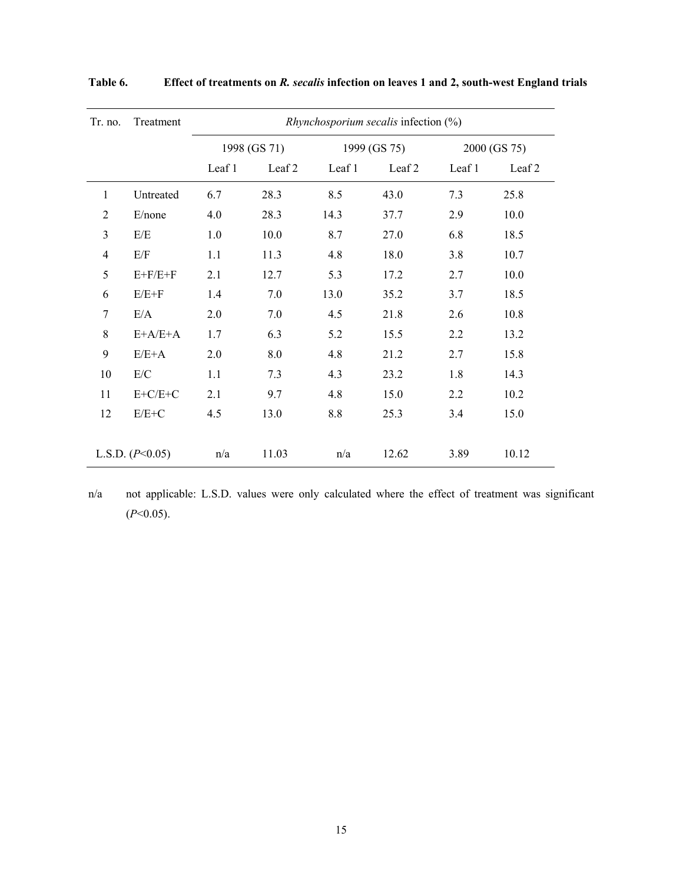| Tr. no.        | Treatment         | Rhynchosporium secalis infection (%) |                   |        |                   |        |              |
|----------------|-------------------|--------------------------------------|-------------------|--------|-------------------|--------|--------------|
|                |                   |                                      | 1998 (GS 71)      |        | 1999 (GS 75)      |        | 2000 (GS 75) |
|                |                   | Leaf 1                               | Leaf <sub>2</sub> | Leaf 1 | Leaf <sub>2</sub> | Leaf 1 | Leaf 2       |
| $\mathbf{1}$   | Untreated         | 6.7                                  | 28.3              | 8.5    | 43.0              | 7.3    | 25.8         |
| $\overline{2}$ | E/none            | 4.0                                  | 28.3              | 14.3   | 37.7              | 2.9    | 10.0         |
| 3              | E/E               | 1.0                                  | 10.0              | 8.7    | 27.0              | 6.8    | 18.5         |
| 4              | E/F               | 1.1                                  | 11.3              | 4.8    | 18.0              | 3.8    | 10.7         |
| 5              | $E+F/E+F$         | 2.1                                  | 12.7              | 5.3    | 17.2              | 2.7    | 10.0         |
| 6              | $E/E+F$           | 1.4                                  | 7.0               | 13.0   | 35.2              | 3.7    | 18.5         |
| $\overline{7}$ | E/A               | 2.0                                  | 7.0               | 4.5    | 21.8              | 2.6    | 10.8         |
| 8              | $E+A/E+A$         | 1.7                                  | 6.3               | 5.2    | 15.5              | 2.2    | 13.2         |
| 9              | $E/E+A$           | 2.0                                  | 8.0               | 4.8    | 21.2              | 2.7    | 15.8         |
| 10             | E/C               | 1.1                                  | 7.3               | 4.3    | 23.2              | 1.8    | 14.3         |
| 11             | $E+C/E+C$         | 2.1                                  | 9.7               | 4.8    | 15.0              | 2.2    | 10.2         |
| 12             | $E/E+C$           | 4.5                                  | 13.0              | 8.8    | 25.3              | 3.4    | 15.0         |
|                |                   |                                      |                   |        |                   |        |              |
|                | L.S.D. $(P<0.05)$ | n/a                                  | 11.03             | n/a    | 12.62             | 3.89   | 10.12        |

**Table 6. Effect of treatments on** *R. secalis* **infection on leaves 1 and 2, south-west England trials** 

n/a not applicable: L.S.D. values were only calculated where the effect of treatment was significant (*P*<0.05).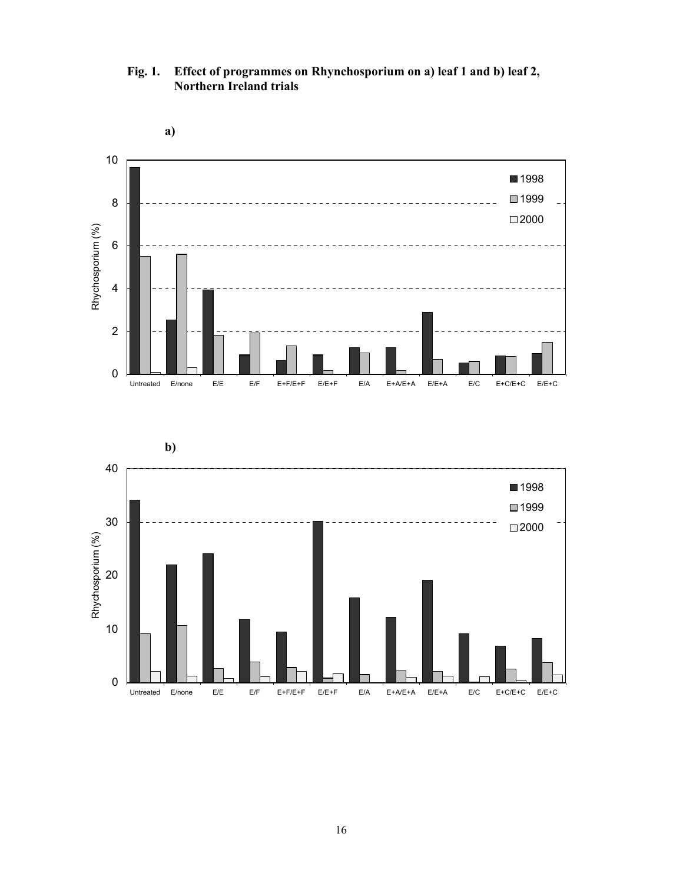10 ■1998 1999 8 ■2000 Rhychosporium (%) Rhychosporium (%) 6 4 2 0 Untreated E/none E/E E/F E+F/E+F E/E+F E/A E+A/E+A E/E+A E/C E+C/E+C E/E+C

**Fig. 1. Effect of programmes on Rhynchosporium on a) leaf 1 and b) leaf 2, Northern Ireland trials** 

**a)** 

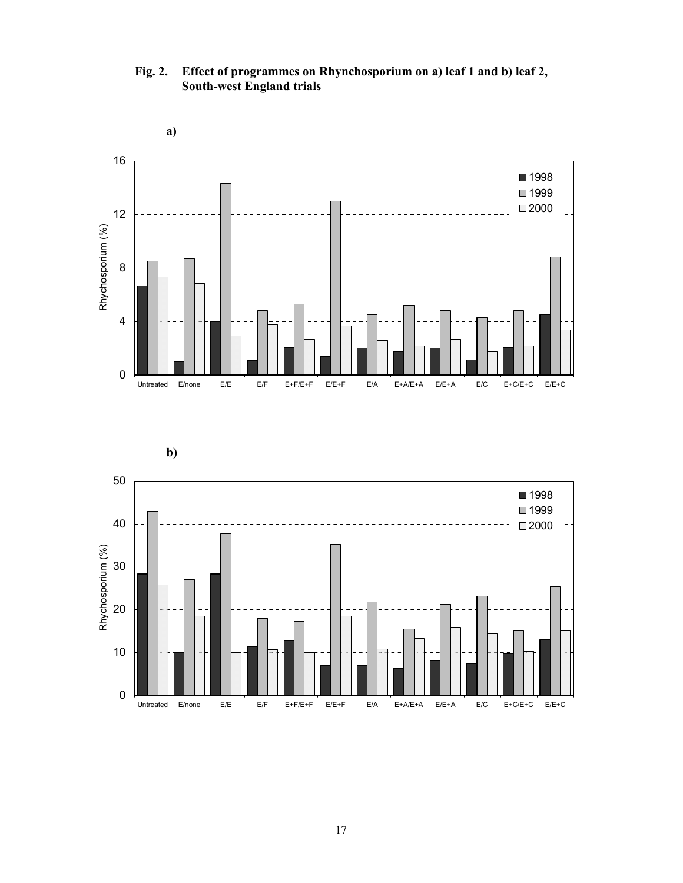**Fig. 2. Effect of programmes on Rhynchosporium on a) leaf 1 and b) leaf 2, South-west England trials** 





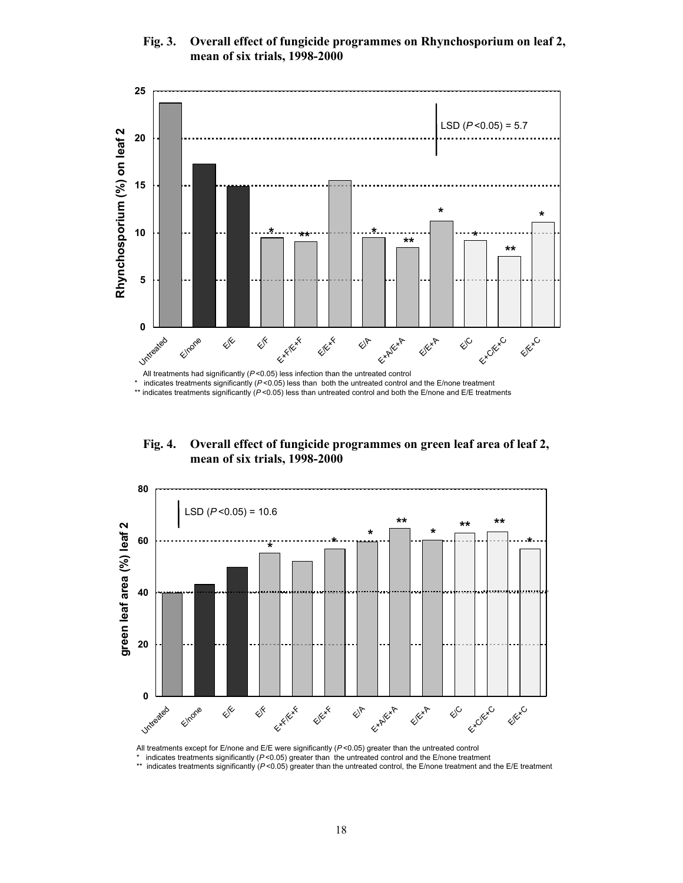

# **Fig. 3. Overall effect of fungicide programmes on Rhynchosporium on leaf 2, mean of six trials, 1998-2000**

Untreated Explication All treatments had significantly ( $P$ <0.05) less infection than the untreated control

Exter<sub>xx</sub>

 $\diamondsuit^{\mathsf K}$ 

**\***

**0**

E/none

E/E

**5**

**10**

indicates treatments significantly (*P* <0.05) less than both the untreated control and the E/none treatment

\*\* indicates treatments significantly (P<0.05) less than untreated control and both the E/none and E/E treatments

E<sup>k\*</sup>

E/A

**\*\* \*\* \* \***

E<sup>xA</sup>

**\***

 $\diamondsuit^{\mathsf{C}}$ 

ExC/ExC

**\*\***

E<sup>IExC</sup>

**\***

**Fig. 4. Overall effect of fungicide programmes on green leaf area of leaf 2, mean of six trials, 1998-2000** 



All treatments except for E/none and E/E were significantly (*P* <0.05) greater than the untreated control

indicates treatments significantly ( $P$  <0.05) greater than the untreated control and the E/none treatment

\*\* indicates treatments significantly (P<0.05) greater than the untreated control, the E/none treatment and the E/E treatment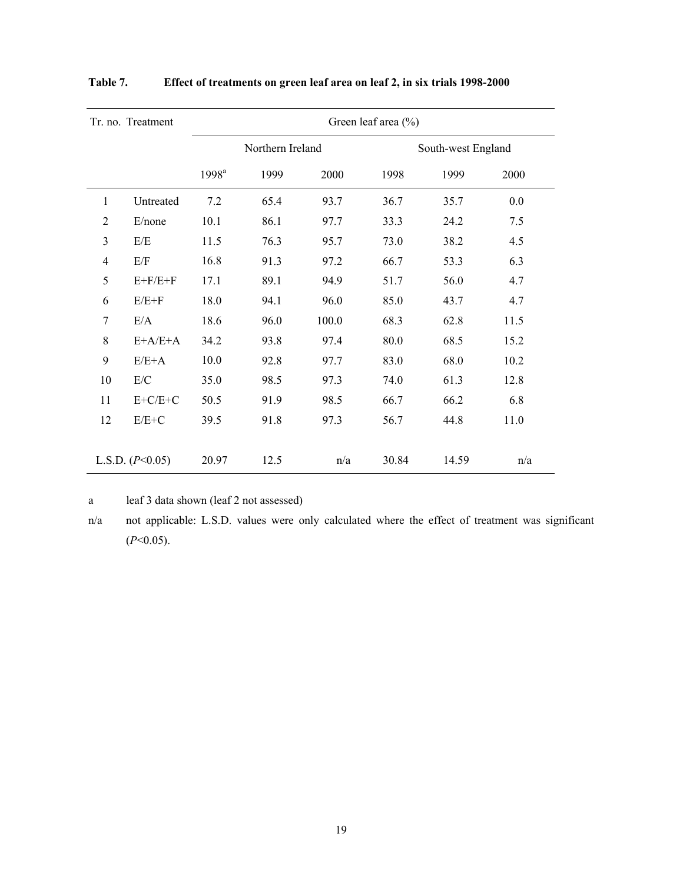|                | Tr. no. Treatment | Green leaf area (%) |                  |       |       |                    |      |
|----------------|-------------------|---------------------|------------------|-------|-------|--------------------|------|
|                |                   |                     | Northern Ireland |       |       | South-west England |      |
|                |                   | 1998 <sup>a</sup>   | 1999             | 2000  | 1998  | 1999               | 2000 |
| 1              | Untreated         | 7.2                 | 65.4             | 93.7  | 36.7  | 35.7               | 0.0  |
| $\overline{2}$ | E/none            | 10.1                | 86.1             | 97.7  | 33.3  | 24.2               | 7.5  |
| 3              | E/E               | 11.5                | 76.3             | 95.7  | 73.0  | 38.2               | 4.5  |
| 4              | E/F               | 16.8                | 91.3             | 97.2  | 66.7  | 53.3               | 6.3  |
| 5              | $E+F/E+F$         | 17.1                | 89.1             | 94.9  | 51.7  | 56.0               | 4.7  |
| 6              | $E/E+F$           | 18.0                | 94.1             | 96.0  | 85.0  | 43.7               | 4.7  |
| $\overline{7}$ | E/A               | 18.6                | 96.0             | 100.0 | 68.3  | 62.8               | 11.5 |
| 8              | $E+A/E+A$         | 34.2                | 93.8             | 97.4  | 80.0  | 68.5               | 15.2 |
| 9              | $E/E+A$           | 10.0                | 92.8             | 97.7  | 83.0  | 68.0               | 10.2 |
| 10             | E/C               | 35.0                | 98.5             | 97.3  | 74.0  | 61.3               | 12.8 |
| 11             | $E+C/E+C$         | 50.5                | 91.9             | 98.5  | 66.7  | 66.2               | 6.8  |
| 12             | $E/E+C$           | 39.5                | 91.8             | 97.3  | 56.7  | 44.8               | 11.0 |
|                |                   |                     |                  |       |       |                    |      |
|                | L.S.D. $(P<0.05)$ | 20.97               | 12.5             | n/a   | 30.84 | 14.59              | n/a  |

**Table 7. Effect of treatments on green leaf area on leaf 2, in six trials 1998-2000** 

a leaf 3 data shown (leaf 2 not assessed)

n/a not applicable: L.S.D. values were only calculated where the effect of treatment was significant (*P*<0.05).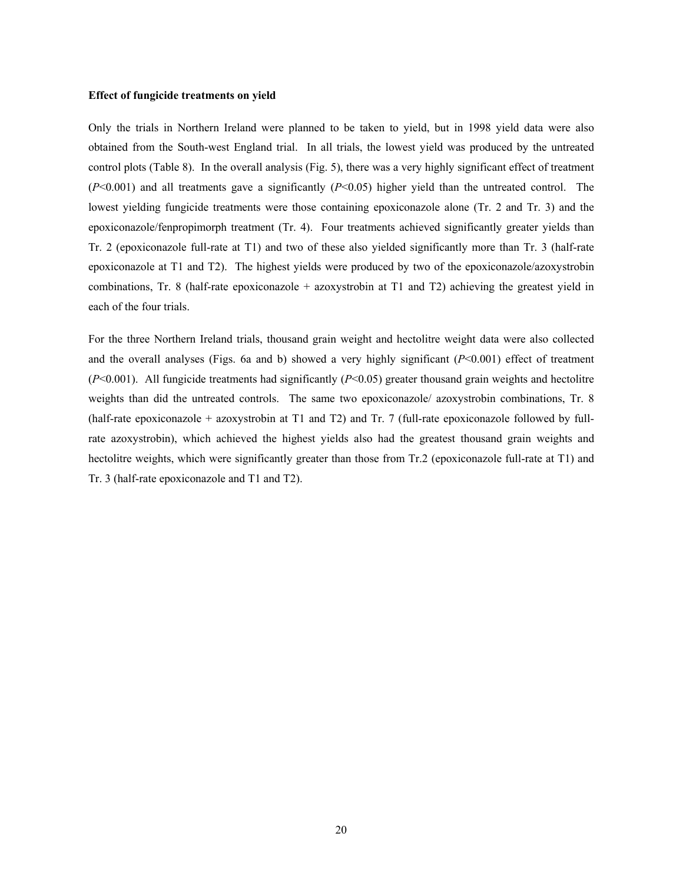### **Effect of fungicide treatments on yield**

Only the trials in Northern Ireland were planned to be taken to yield, but in 1998 yield data were also obtained from the South-west England trial. In all trials, the lowest yield was produced by the untreated control plots (Table 8). In the overall analysis (Fig. 5), there was a very highly significant effect of treatment (*P*<0.001) and all treatments gave a significantly (*P*<0.05) higher yield than the untreated control. The lowest yielding fungicide treatments were those containing epoxiconazole alone (Tr. 2 and Tr. 3) and the epoxiconazole/fenpropimorph treatment (Tr. 4). Four treatments achieved significantly greater yields than Tr. 2 (epoxiconazole full-rate at T1) and two of these also yielded significantly more than Tr. 3 (half-rate epoxiconazole at T1 and T2). The highest yields were produced by two of the epoxiconazole/azoxystrobin combinations, Tr. 8 (half-rate epoxiconazole + azoxystrobin at T1 and T2) achieving the greatest yield in each of the four trials.

For the three Northern Ireland trials, thousand grain weight and hectolitre weight data were also collected and the overall analyses (Figs. 6a and b) showed a very highly significant  $(P<0.001)$  effect of treatment (*P*<0.001). All fungicide treatments had significantly (*P*<0.05) greater thousand grain weights and hectolitre weights than did the untreated controls. The same two epoxiconazole/ azoxystrobin combinations, Tr. 8 (half-rate epoxiconazole + azoxystrobin at T1 and T2) and Tr. 7 (full-rate epoxiconazole followed by fullrate azoxystrobin), which achieved the highest yields also had the greatest thousand grain weights and hectolitre weights, which were significantly greater than those from Tr.2 (epoxiconazole full-rate at T1) and Tr. 3 (half-rate epoxiconazole and T1 and T2).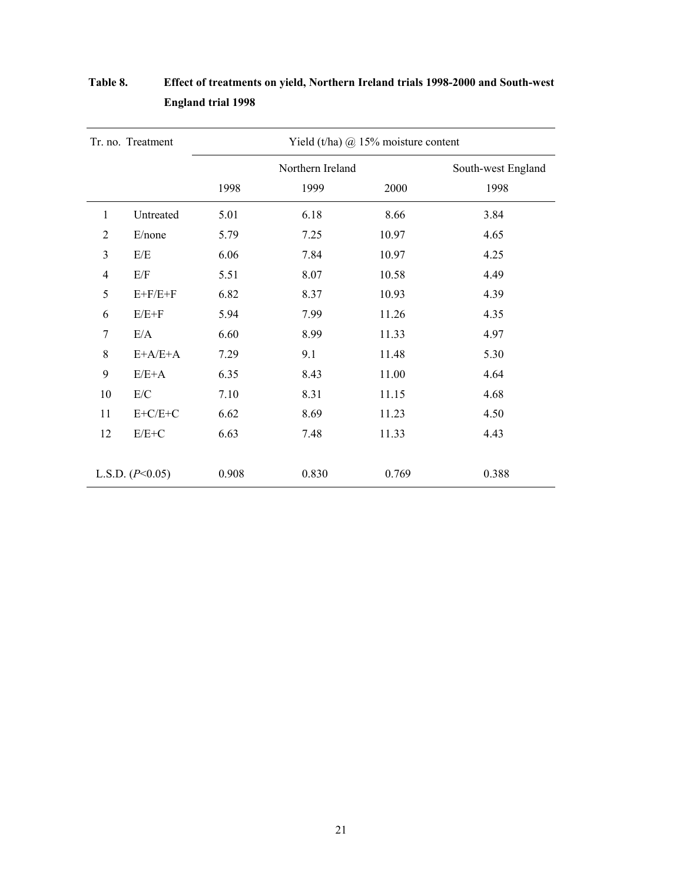|                | Tr. no. Treatment |       |                  | Yield (t/ha) $\omega$ 15% moisture content |       |
|----------------|-------------------|-------|------------------|--------------------------------------------|-------|
|                |                   |       | Northern Ireland | South-west England                         |       |
|                |                   | 1998  | 1999             | 2000                                       | 1998  |
| 1              | Untreated         | 5.01  | 6.18             | 8.66                                       | 3.84  |
| $\overline{2}$ | E/none            | 5.79  | 7.25             | 10.97                                      | 4.65  |
| 3              | E/E               | 6.06  | 7.84             | 10.97                                      | 4.25  |
| $\overline{4}$ | E/F               | 5.51  | 8.07             | 10.58                                      | 4.49  |
| 5              | $E+F/E+F$         | 6.82  | 8.37             | 10.93                                      | 4.39  |
| 6              | $E/E+F$           | 5.94  | 7.99             | 11.26                                      | 4.35  |
| $\overline{7}$ | E/A               | 6.60  | 8.99             | 11.33                                      | 4.97  |
| 8              | $E+A/E+A$         | 7.29  | 9.1              | 11.48                                      | 5.30  |
| 9              | $E/E+A$           | 6.35  | 8.43             | 11.00                                      | 4.64  |
| 10             | E/C               | 7.10  | 8.31             | 11.15                                      | 4.68  |
| 11             | $E+C/E+C$         | 6.62  | 8.69             | 11.23                                      | 4.50  |
| 12             | $E/E+C$           | 6.63  | 7.48             | 11.33                                      | 4.43  |
|                | L.S.D. $(P<0.05)$ | 0.908 | 0.830            | 0.769                                      | 0.388 |

# **Table 8. Effect of treatments on yield, Northern Ireland trials 1998-2000 and South-west England trial 1998**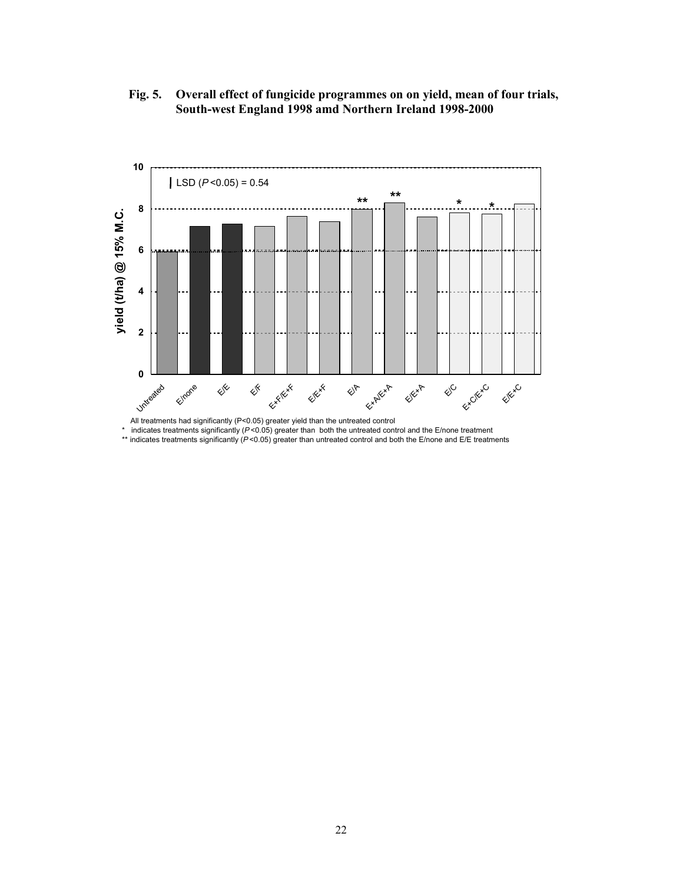**Fig. 5. Overall effect of fungicide programmes on on yield, mean of four trials, South-west England 1998 amd Northern Ireland 1998-2000** 



All treatments had significantly (P<0.05) greater yield than the untreated control<br>time indicates treatments eignificantly ( $R \le 0.05$ ) greater than both the untreated control

indicates treatments significantly ( $P < 0.05$ ) greater than both the untreated control and the E/none treatment

\*\* indicates treatments significantly (*P* <0.05) greater than untreated control and both the E/none and E/E treatments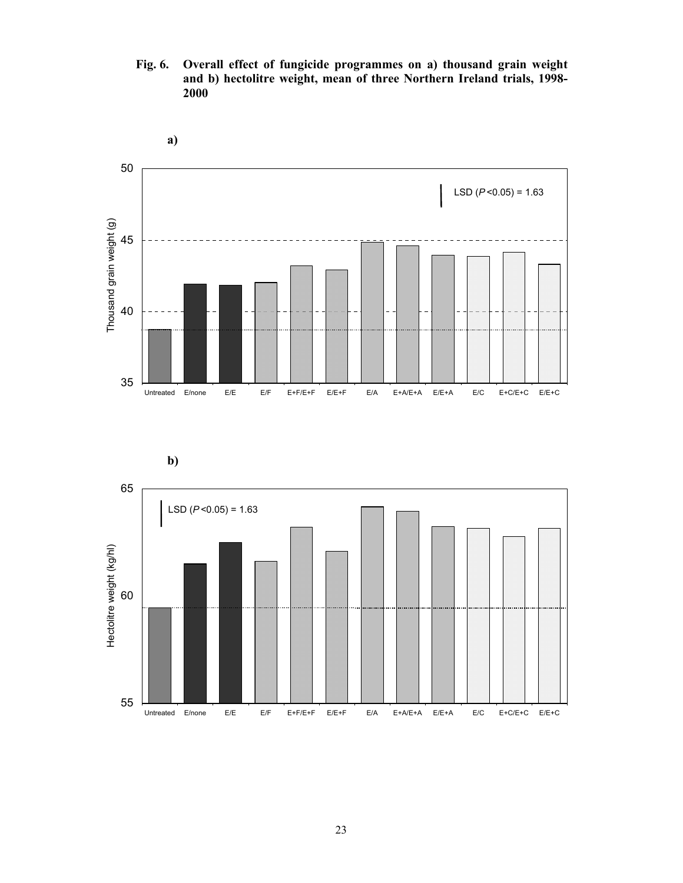**Fig. 6. Overall effect of fungicide programmes on a) thousand grain weight and b) hectolitre weight, mean of three Northern Ireland trials, 1998- 2000** 



![](_page_23_Figure_2.jpeg)

![](_page_23_Figure_3.jpeg)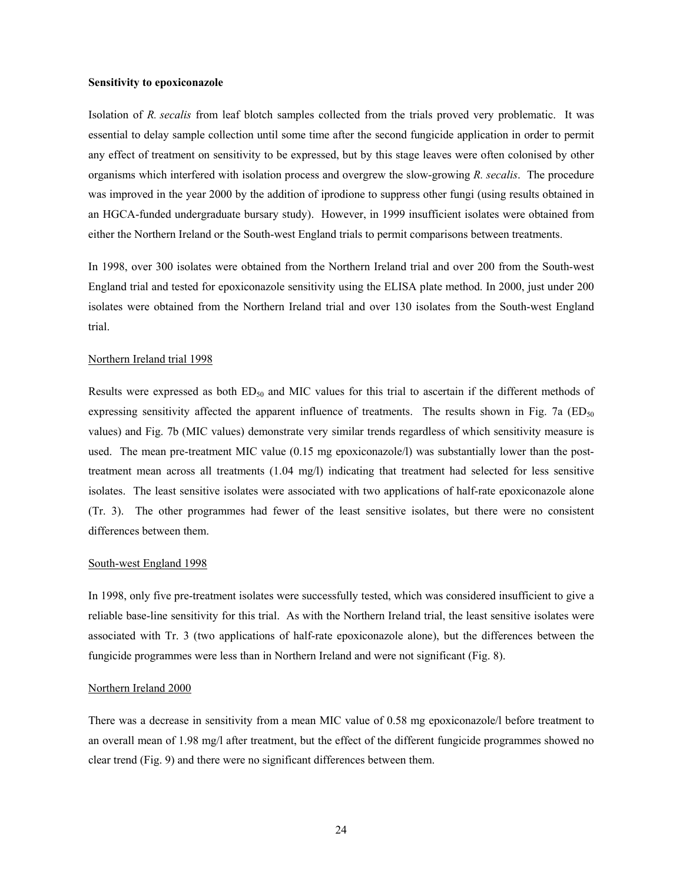#### **Sensitivity to epoxiconazole**

Isolation of *R. secalis* from leaf blotch samples collected from the trials proved very problematic. It was essential to delay sample collection until some time after the second fungicide application in order to permit any effect of treatment on sensitivity to be expressed, but by this stage leaves were often colonised by other organisms which interfered with isolation process and overgrew the slow-growing *R. secalis*. The procedure was improved in the year 2000 by the addition of iprodione to suppress other fungi (using results obtained in an HGCA-funded undergraduate bursary study). However, in 1999 insufficient isolates were obtained from either the Northern Ireland or the South-west England trials to permit comparisons between treatments.

In 1998, over 300 isolates were obtained from the Northern Ireland trial and over 200 from the South-west England trial and tested for epoxiconazole sensitivity using the ELISA plate method. In 2000, just under 200 isolates were obtained from the Northern Ireland trial and over 130 isolates from the South-west England trial.

#### Northern Ireland trial 1998

Results were expressed as both  $ED_{50}$  and MIC values for this trial to ascertain if the different methods of expressing sensitivity affected the apparent influence of treatments. The results shown in Fig. 7a ( $ED_{50}$ values) and Fig. 7b (MIC values) demonstrate very similar trends regardless of which sensitivity measure is used. The mean pre-treatment MIC value (0.15 mg epoxiconazole/l) was substantially lower than the posttreatment mean across all treatments (1.04 mg/l) indicating that treatment had selected for less sensitive isolates. The least sensitive isolates were associated with two applications of half-rate epoxiconazole alone (Tr. 3). The other programmes had fewer of the least sensitive isolates, but there were no consistent differences between them.

# South-west England 1998

In 1998, only five pre-treatment isolates were successfully tested, which was considered insufficient to give a reliable base-line sensitivity for this trial. As with the Northern Ireland trial, the least sensitive isolates were associated with Tr. 3 (two applications of half-rate epoxiconazole alone), but the differences between the fungicide programmes were less than in Northern Ireland and were not significant (Fig. 8).

#### Northern Ireland 2000

There was a decrease in sensitivity from a mean MIC value of 0.58 mg epoxiconazole/l before treatment to an overall mean of 1.98 mg/l after treatment, but the effect of the different fungicide programmes showed no clear trend (Fig. 9) and there were no significant differences between them.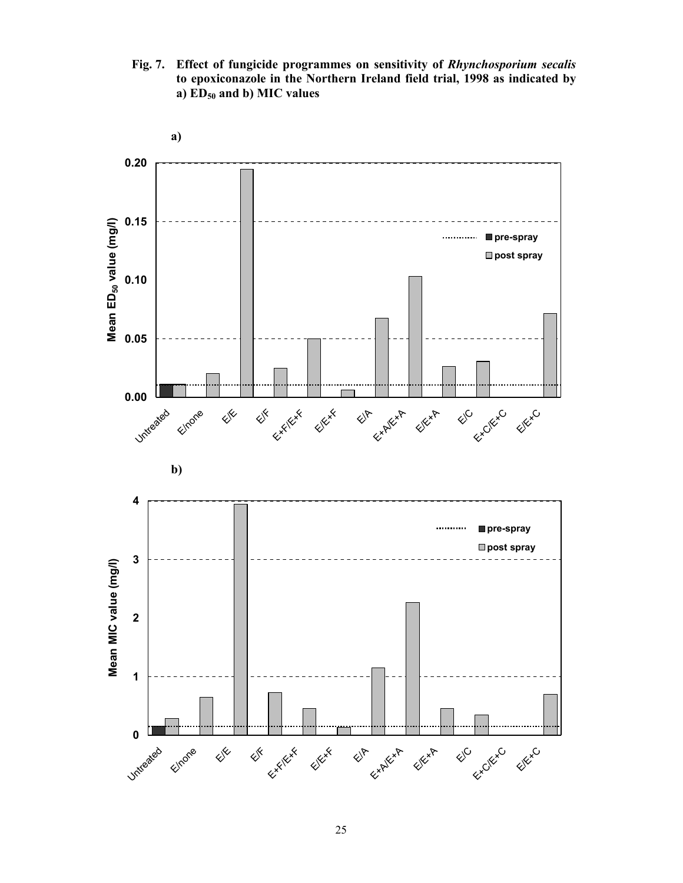**Fig. 7. Effect of fungicide programmes on sensitivity of** *Rhynchosporium secalis* **to epoxiconazole in the Northern Ireland field trial, 1998 as indicated by a) ED50 and b) MIC values** 

![](_page_25_Figure_1.jpeg)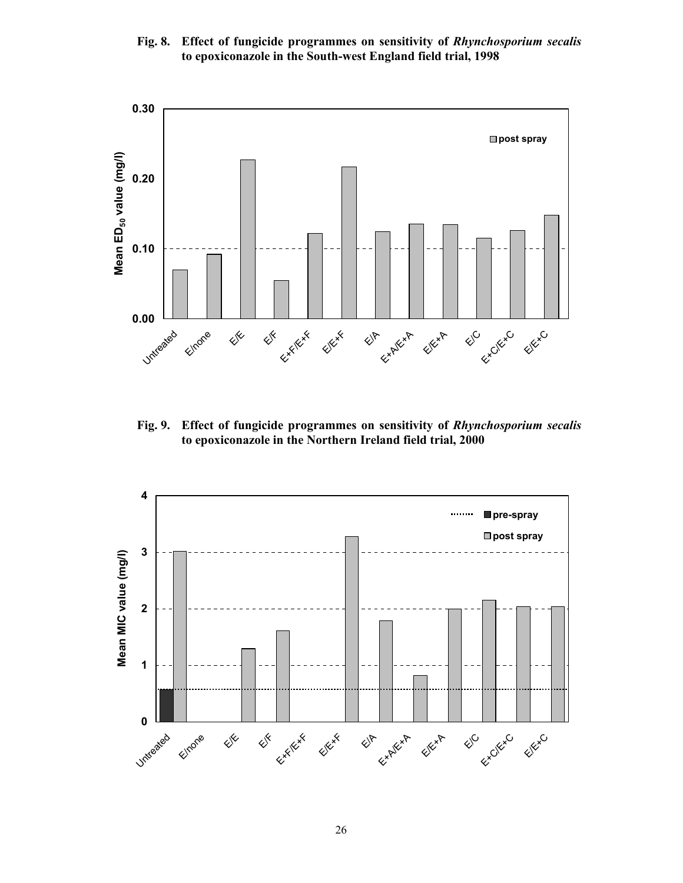# **Fig. 8. Effect of fungicide programmes on sensitivity of** *Rhynchosporium secalis* **to epoxiconazole in the South-west England field trial, 1998**

![](_page_26_Figure_1.jpeg)

**Fig. 9. Effect of fungicide programmes on sensitivity of** *Rhynchosporium secalis* **to epoxiconazole in the Northern Ireland field trial, 2000** 

![](_page_26_Figure_3.jpeg)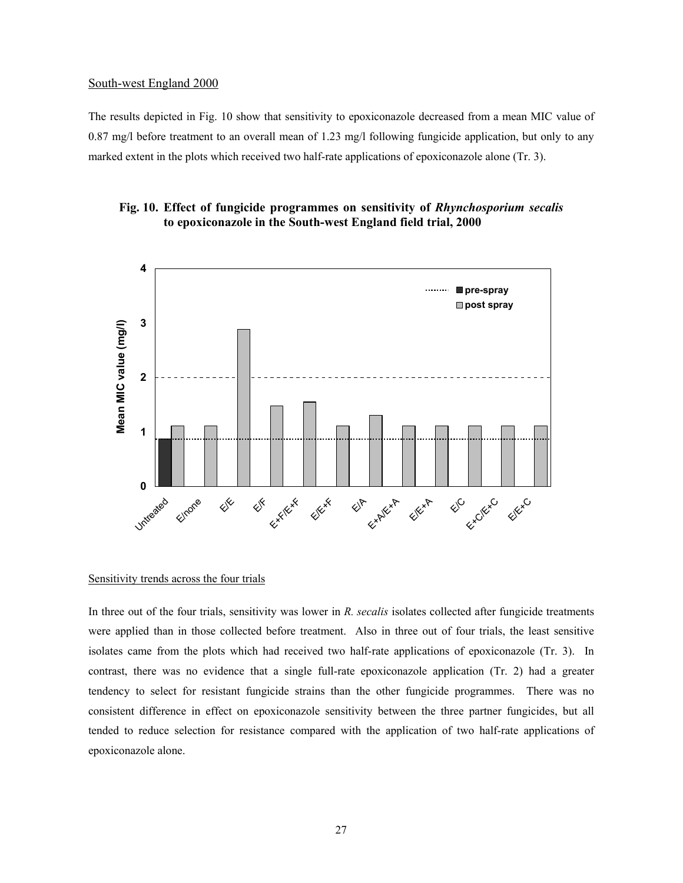# South-west England 2000

The results depicted in Fig. 10 show that sensitivity to epoxiconazole decreased from a mean MIC value of 0.87 mg/l before treatment to an overall mean of 1.23 mg/l following fungicide application, but only to any marked extent in the plots which received two half-rate applications of epoxiconazole alone (Tr. 3).

# **Fig. 10. Effect of fungicide programmes on sensitivity of** *Rhynchosporium secalis* **to epoxiconazole in the South-west England field trial, 2000**

![](_page_27_Figure_3.jpeg)

# Sensitivity trends across the four trials

In three out of the four trials, sensitivity was lower in *R. secalis* isolates collected after fungicide treatments were applied than in those collected before treatment. Also in three out of four trials, the least sensitive isolates came from the plots which had received two half-rate applications of epoxiconazole (Tr. 3). In contrast, there was no evidence that a single full-rate epoxiconazole application (Tr. 2) had a greater tendency to select for resistant fungicide strains than the other fungicide programmes. There was no consistent difference in effect on epoxiconazole sensitivity between the three partner fungicides, but all tended to reduce selection for resistance compared with the application of two half-rate applications of epoxiconazole alone.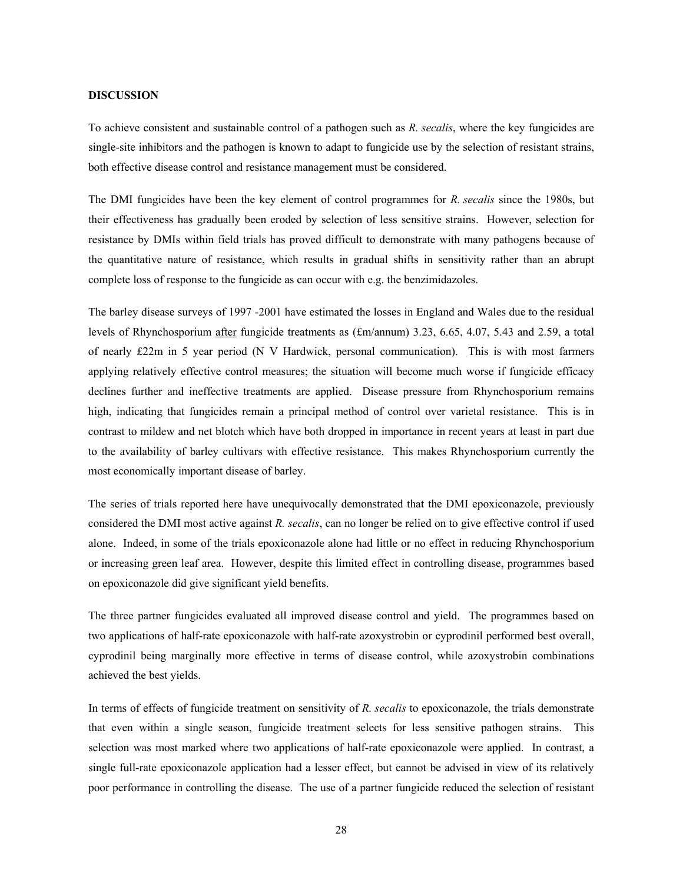# **DISCUSSION**

To achieve consistent and sustainable control of a pathogen such as *R. secalis*, where the key fungicides are single-site inhibitors and the pathogen is known to adapt to fungicide use by the selection of resistant strains, both effective disease control and resistance management must be considered.

The DMI fungicides have been the key element of control programmes for *R. secalis* since the 1980s, but their effectiveness has gradually been eroded by selection of less sensitive strains. However, selection for resistance by DMIs within field trials has proved difficult to demonstrate with many pathogens because of the quantitative nature of resistance, which results in gradual shifts in sensitivity rather than an abrupt complete loss of response to the fungicide as can occur with e.g. the benzimidazoles.

The barley disease surveys of 1997 -2001 have estimated the losses in England and Wales due to the residual levels of Rhynchosporium after fungicide treatments as (£m/annum) 3.23, 6.65, 4.07, 5.43 and 2.59, a total of nearly £22m in 5 year period (N V Hardwick, personal communication). This is with most farmers applying relatively effective control measures; the situation will become much worse if fungicide efficacy declines further and ineffective treatments are applied. Disease pressure from Rhynchosporium remains high, indicating that fungicides remain a principal method of control over varietal resistance. This is in contrast to mildew and net blotch which have both dropped in importance in recent years at least in part due to the availability of barley cultivars with effective resistance. This makes Rhynchosporium currently the most economically important disease of barley.

The series of trials reported here have unequivocally demonstrated that the DMI epoxiconazole, previously considered the DMI most active against *R. secalis*, can no longer be relied on to give effective control if used alone. Indeed, in some of the trials epoxiconazole alone had little or no effect in reducing Rhynchosporium or increasing green leaf area. However, despite this limited effect in controlling disease, programmes based on epoxiconazole did give significant yield benefits.

The three partner fungicides evaluated all improved disease control and yield. The programmes based on two applications of half-rate epoxiconazole with half-rate azoxystrobin or cyprodinil performed best overall, cyprodinil being marginally more effective in terms of disease control, while azoxystrobin combinations achieved the best yields.

In terms of effects of fungicide treatment on sensitivity of *R. secalis* to epoxiconazole, the trials demonstrate that even within a single season, fungicide treatment selects for less sensitive pathogen strains. This selection was most marked where two applications of half-rate epoxiconazole were applied. In contrast, a single full-rate epoxiconazole application had a lesser effect, but cannot be advised in view of its relatively poor performance in controlling the disease. The use of a partner fungicide reduced the selection of resistant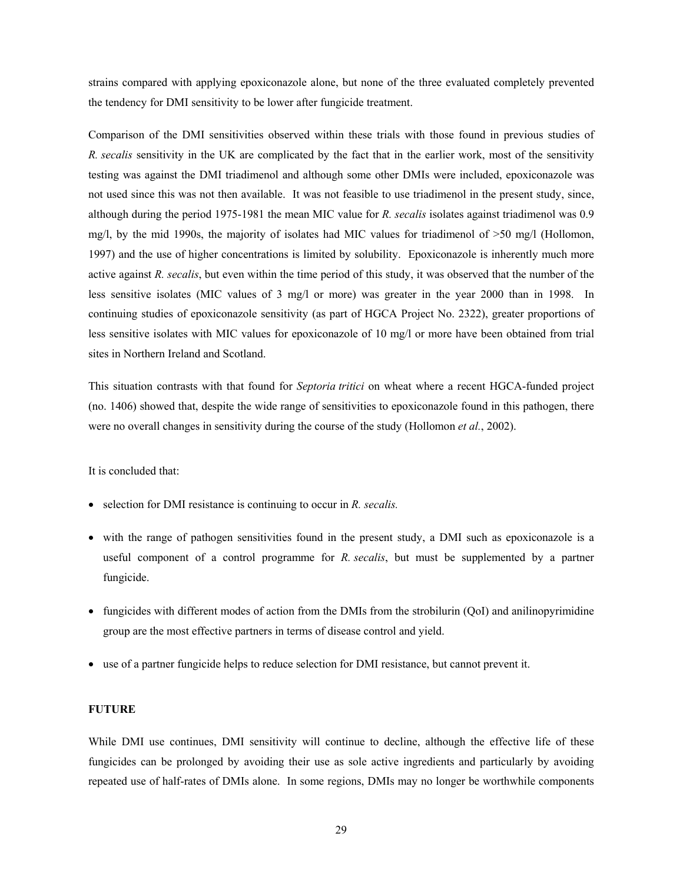strains compared with applying epoxiconazole alone, but none of the three evaluated completely prevented the tendency for DMI sensitivity to be lower after fungicide treatment.

Comparison of the DMI sensitivities observed within these trials with those found in previous studies of *R. secalis* sensitivity in the UK are complicated by the fact that in the earlier work, most of the sensitivity testing was against the DMI triadimenol and although some other DMIs were included, epoxiconazole was not used since this was not then available. It was not feasible to use triadimenol in the present study, since, although during the period 1975-1981 the mean MIC value for *R. secalis* isolates against triadimenol was 0.9 mg/l, by the mid 1990s, the majority of isolates had MIC values for triadimenol of >50 mg/l (Hollomon, 1997) and the use of higher concentrations is limited by solubility. Epoxiconazole is inherently much more active against *R. secalis*, but even within the time period of this study, it was observed that the number of the less sensitive isolates (MIC values of 3 mg/l or more) was greater in the year 2000 than in 1998. In continuing studies of epoxiconazole sensitivity (as part of HGCA Project No. 2322), greater proportions of less sensitive isolates with MIC values for epoxiconazole of 10 mg/l or more have been obtained from trial sites in Northern Ireland and Scotland.

This situation contrasts with that found for *Septoria tritici* on wheat where a recent HGCA-funded project (no. 1406) showed that, despite the wide range of sensitivities to epoxiconazole found in this pathogen, there were no overall changes in sensitivity during the course of the study (Hollomon *et al.*, 2002).

It is concluded that:

- selection for DMI resistance is continuing to occur in *R. secalis.*
- with the range of pathogen sensitivities found in the present study, a DMI such as epoxiconazole is a useful component of a control programme for *R. secalis*, but must be supplemented by a partner fungicide.
- fungicides with different modes of action from the DMIs from the strobilurin (QoI) and anilinopyrimidine group are the most effective partners in terms of disease control and yield.
- use of a partner fungicide helps to reduce selection for DMI resistance, but cannot prevent it.

# **FUTURE**

While DMI use continues, DMI sensitivity will continue to decline, although the effective life of these fungicides can be prolonged by avoiding their use as sole active ingredients and particularly by avoiding repeated use of half-rates of DMIs alone. In some regions, DMIs may no longer be worthwhile components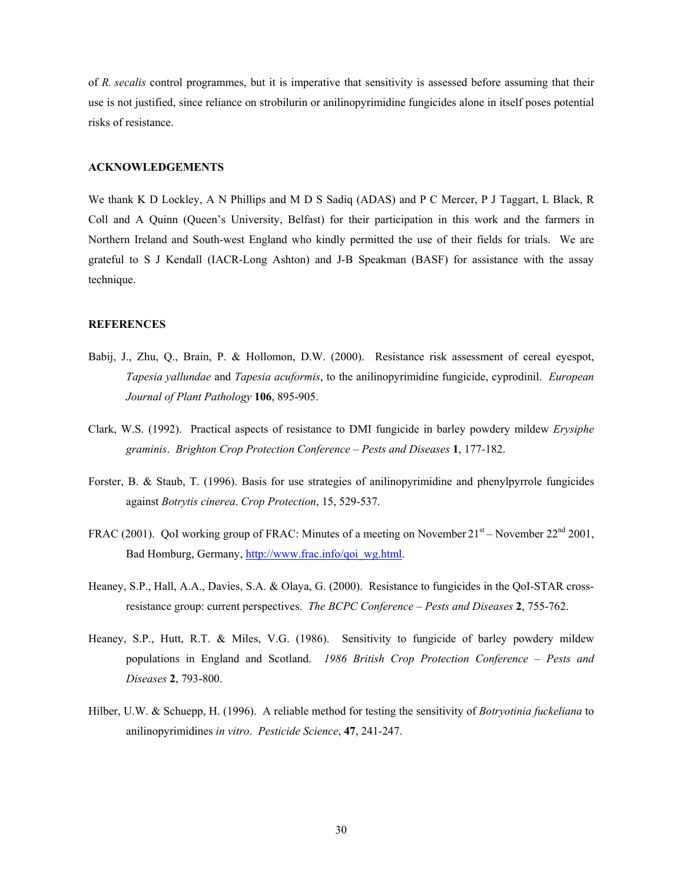of *R. secalis* control programmes, but it is imperative that sensitivity is assessed before assuming that their use is not justified, since reliance on strobilurin or anilinopyrimidine fungicides alone in itself poses potential risks of resistance.

# **ACKNOWLEDGEMENTS**

We thank K D Lockley, A N Phillips and M D S Sadiq (ADAS) and P C Mercer, P J Taggart, L Black, R Coll and A Quinn (Queen's University, Belfast) for their participation in this work and the farmers in Northern Ireland and South-west England who kindly permitted the use of their fields for trials. We are grateful to S J Kendall (IACR-Long Ashton) and J-B Speakman (BASF) for assistance with the assay technique.

# **REFERENCES**

- Babij, J., Zhu, Q., Brain, P. & Hollomon, D.W. (2000). Resistance risk assessment of cereal eyespot, *Tapesia yallundae* and *Tapesia acuformis*, to the anilinopyrimidine fungicide, cyprodinil. *European Journal of Plant Pathology* **106**, 895-905.
- Clark, W.S. (1992). Practical aspects of resistance to DMI fungicide in barley powdery mildew *Erysiphe graminis*. *Brighton Crop Protection Conference – Pests and Diseases* **1**, 177-182.
- Forster, B. & Staub, T. (1996). Basis for use strategies of anilinopyrimidine and phenylpyrrole fungicides against *Botrytis cinerea*. *Crop Protection*, 15, 529-537.
- FRAC (2001). QoI working group of FRAC: Minutes of a meeting on November  $21<sup>st</sup>$  November  $22<sup>nd</sup> 2001$ , Bad Homburg, Germany, http://www.frac.info/qoi\_wg.html.
- Heaney, S.P., Hall, A.A., Davies, S.A. & Olaya, G. (2000). Resistance to fungicides in the QoI-STAR crossresistance group: current perspectives. *The BCPC Conference – Pests and Diseases* **2**, 755-762.
- Heaney, S.P., Hutt, R.T. & Miles, V.G. (1986). Sensitivity to fungicide of barley powdery mildew populations in England and Scotland. *1986 British Crop Protection Conference – Pests and Diseases* **2**, 793-800.
- Hilber, U.W. & Schuepp, H. (1996). A reliable method for testing the sensitivity of *Botryotinia fuckeliana* to anilinopyrimidines *in vitro*. *Pesticide Science*, **47**, 241-247.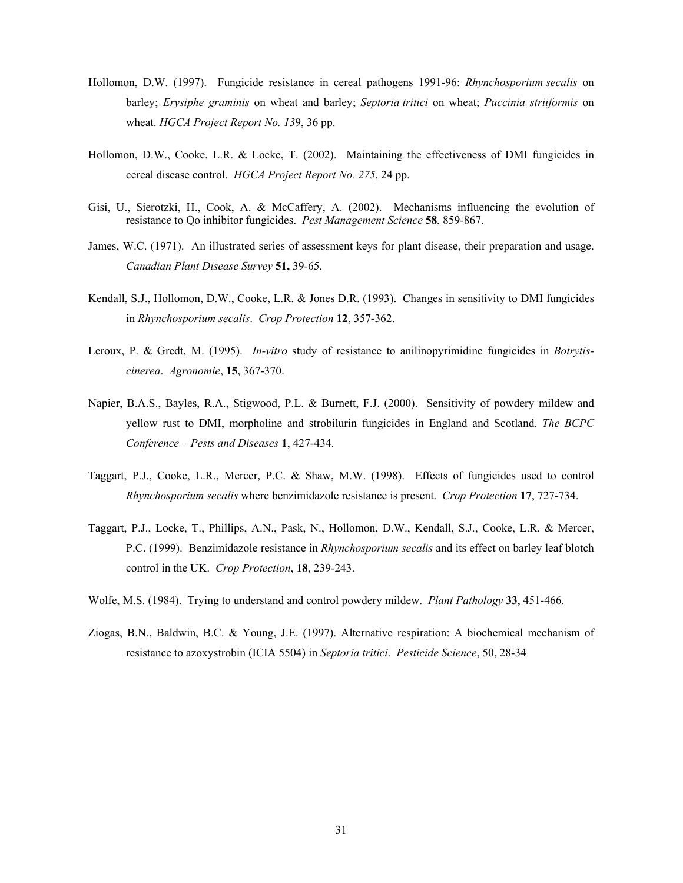- Hollomon, D.W. (1997). Fungicide resistance in cereal pathogens 1991-96: *Rhynchosporium secalis* on barley; *Erysiphe graminis* on wheat and barley; *Septoria tritici* on wheat; *Puccinia striiformis* on wheat. *HGCA Project Report No. 13*9, 36 pp.
- Hollomon, D.W., Cooke, L.R. & Locke, T. (2002). Maintaining the effectiveness of DMI fungicides in cereal disease control. *HGCA Project Report No. 275*, 24 pp.
- Gisi, U., Sierotzki, H., Cook, A. & McCaffery, A. (2002). Mechanisms influencing the evolution of resistance to Qo inhibitor fungicides. *Pest Management Science* **58**, 859-867.
- James, W.C. (1971). An illustrated series of assessment keys for plant disease, their preparation and usage. *Canadian Plant Disease Survey* **51,** 39-65.
- Kendall, S.J., Hollomon, D.W., Cooke, L.R. & Jones D.R. (1993). Changes in sensitivity to DMI fungicides in *Rhynchosporium secalis*. *Crop Protection* **12**, 357-362.
- Leroux, P. & Gredt, M. (1995). *In-vitro* study of resistance to anilinopyrimidine fungicides in *Botrytiscinerea*. *Agronomie*, **15**, 367-370.
- Napier, B.A.S., Bayles, R.A., Stigwood, P.L. & Burnett, F.J. (2000). Sensitivity of powdery mildew and yellow rust to DMI, morpholine and strobilurin fungicides in England and Scotland. *The BCPC Conference – Pests and Diseases* **1**, 427-434.
- Taggart, P.J., Cooke, L.R., Mercer, P.C. & Shaw, M.W. (1998). Effects of fungicides used to control *Rhynchosporium secalis* where benzimidazole resistance is present. *Crop Protection* **17**, 727-734.
- Taggart, P.J., Locke, T., Phillips, A.N., Pask, N., Hollomon, D.W., Kendall, S.J., Cooke, L.R. & Mercer, P.C. (1999). Benzimidazole resistance in *Rhynchosporium secalis* and its effect on barley leaf blotch control in the UK. *Crop Protection*, **18**, 239-243.
- Wolfe, M.S. (1984). Trying to understand and control powdery mildew. *Plant Pathology* **33**, 451-466.
- Ziogas, B.N., Baldwin, B.C. & Young, J.E. (1997). Alternative respiration: A biochemical mechanism of resistance to azoxystrobin (ICIA 5504) in *Septoria tritici*. *Pesticide Science*, 50, 28-34